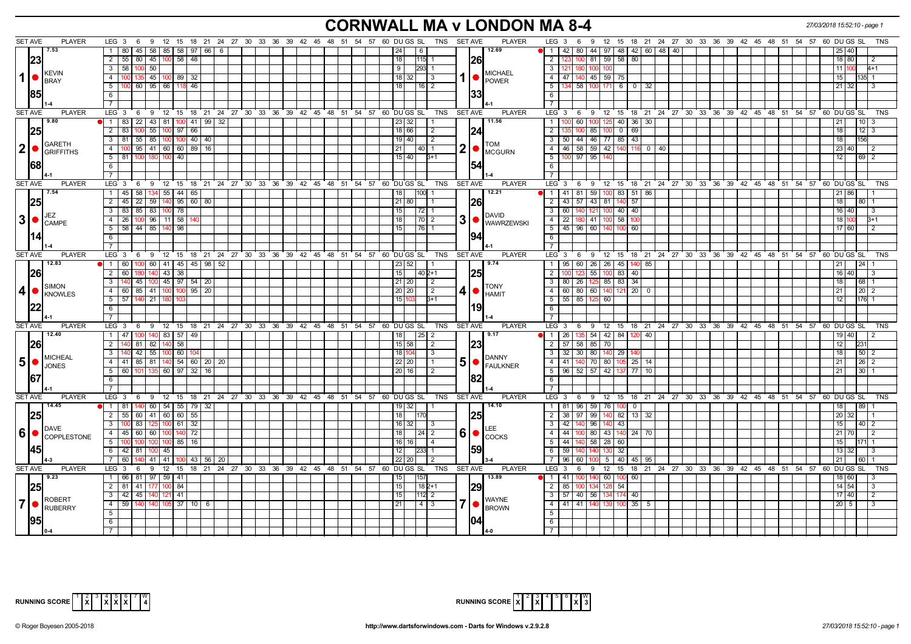# **CORNWALL MA v LONDON MA 8-4** *27/03/2018 15:52:10 - page 1*

|                  | <b>SET AVE</b> | <b>PLAYER</b>        | $LEG_36$<br>- 9                                                                          | 12 15 18 21 24 27 30 33 36 39 42 45 48 51 54 57 60 DUGS SL |    |    |  |  |                                           |  |                 |             | TNS SET AVE                                                             |                |                | <b>PLAYER</b>                  | LEG 3<br>12 15 18 21 24 27 30 33 36 39 42 45 48 51 54 57 60 DU GS SL<br>- 6<br>- 9<br>TNS                  |
|------------------|----------------|----------------------|------------------------------------------------------------------------------------------|------------------------------------------------------------|----|----|--|--|-------------------------------------------|--|-----------------|-------------|-------------------------------------------------------------------------|----------------|----------------|--------------------------------|------------------------------------------------------------------------------------------------------------|
|                  |                | 7.53                 | $1 \overline{80}$                                                                        | 45   58   85   58   97   66   6                            |    |    |  |  |                                           |  | 24              | 6           |                                                                         |                |                | 12.69                          | 42   80   44   97   48   42   60   48   40<br>$\mathbf{1}$<br>40                                           |
|                  | 23             |                      | $2$ 55 80 45 100 58 48                                                                   |                                                            |    |    |  |  |                                           |  | 18              |             | $115$ 1                                                                 |                | 1261           |                                | 100 81 59 58 80<br>$\overline{2}$<br>18 80                                                                 |
|                  |                |                      | $3 \mid 58$<br>50<br>100                                                                 |                                                            |    |    |  |  |                                           |  | 9               |             | <b>293 1</b>                                                            |                |                |                                | $\overline{3}$<br>11  <br>1211<br>1801100<br><b>10</b>                                                     |
| $\mathbf 1$      |                | KEVIN<br><b>BRAY</b> | 4 I                                                                                      | $145$ 100 89 32                                            |    |    |  |  |                                           |  |                 | $18$   32   | 3                                                                       |                |                | <b>MICHAEL</b><br><b>POWER</b> | $\overline{4}$<br>47   140   45   59   75<br>15                                                            |
|                  |                |                      | 5 100 60 95 66 118 46                                                                    |                                                            |    |    |  |  |                                           |  | 18              |             | 16 2                                                                    |                |                |                                | $\overline{5}$<br>134 58 100 171 6 0 32<br>21 32<br>$\mathbf{R}$                                           |
|                  | 1851           |                      | 6                                                                                        |                                                            |    |    |  |  |                                           |  |                 |             |                                                                         |                | 33             |                                | 6                                                                                                          |
|                  |                |                      |                                                                                          |                                                            |    |    |  |  |                                           |  |                 |             |                                                                         |                |                |                                |                                                                                                            |
|                  | <b>SET AVE</b> | <b>PLAYER</b>        | LEG 3 6 9 12 15 18 21 24 27 30 33 36 39 42 45 48 51 54 57 60 DUGS SL TNS                 |                                                            |    |    |  |  |                                           |  |                 |             |                                                                         | <b>SET AVE</b> |                | <b>PLAYER</b>                  | LEG <sup>3</sup><br>ί 6 ່ 9 12 15 18 21 24 27 30 33 36 39 42 45 48 51 54 57 60 DUGS SL<br><b>TNS</b>       |
|                  |                | 9.80                 | 1   83   22   43   81   100   41   99   32                                               |                                                            |    |    |  |  |                                           |  |                 | 23 32       |                                                                         |                |                | 11.56                          | 100 60 100 125 40 36 30<br>$\mathbf{1}$<br>1013<br>l 21                                                    |
|                  |                |                      | $2 \mid 83$<br>100                                                                       | 55   100   97   66                                         |    |    |  |  |                                           |  |                 | 18 66       | $\vert$ 2                                                               |                | 124            |                                | $\overline{2}$<br>85<br>$100 \t 0 \t 69$<br>$12 \mid 3$<br>18 <sup>1</sup>                                 |
|                  |                | <b>GARETH</b>        | 3 81 55 85 100 100 40 40                                                                 |                                                            |    |    |  |  |                                           |  |                 | $19$ 40     | l 2                                                                     |                |                | <b>TOM</b>                     | 50 44 46 77 85 43<br>$\mathbf{3}$<br>156<br>18                                                             |
| 2                |                | <b>IGRIFFITHS</b>    | 4   100   95   41   60   60   89   16                                                    |                                                            |    |    |  |  |                                           |  | 21              |             | 40  1                                                                   | 2              |                | <b>MCGURN</b>                  | 46 58 59 42 140 116 0 40<br>$\overline{4}$<br>23 40                                                        |
|                  |                |                      | $5 \t 81 \t 100$                                                                         | 180   100   40                                             |    |    |  |  |                                           |  |                 | 15 40       | $B+1$                                                                   |                |                |                                | $\overline{5}$<br>100 97 95<br>12 I<br>69 2                                                                |
|                  | 1681           |                      | 6                                                                                        |                                                            |    |    |  |  |                                           |  |                 |             |                                                                         |                |                |                                | 6                                                                                                          |
|                  |                |                      | 7                                                                                        |                                                            |    |    |  |  |                                           |  |                 |             |                                                                         |                |                |                                | $\overline{7}$                                                                                             |
|                  | <b>SET AVE</b> | <b>PLAYER</b>        | LEG 3  6  9  12  15  18  21  24  27  30  33  36  39  42  45  48  51  54  57  60  DUGS SL |                                                            |    |    |  |  |                                           |  |                 |             | TNS SET AVE                                                             |                |                | <b>PLAYER</b>                  | LEG 3 6 9 12 15 18 21 24 27 30 33 36 39 42 45 48 51 54 57 60 DUGS SL<br><b>TNS</b>                         |
|                  |                | 7.54                 | $1 \mid 45 \mid$<br>58                                                                   | $134$ 55 44 65                                             |    |    |  |  |                                           |  | 18              | 100         |                                                                         |                |                | 12.21                          | $\overline{1}$<br>41   81   59  <br>$100$ 83 51<br>86<br>86                                                |
|                  | 25             |                      | $2$ 45 22 59 140 95 60 80                                                                |                                                            |    |    |  |  |                                           |  |                 | $21$ 80     |                                                                         |                |                |                                | 43 57 43 81 140<br>$\overline{2}$<br>57<br>18  <br>80 I                                                    |
|                  |                | JEZ                  | 3 83 85 83 100 78                                                                        |                                                            |    |    |  |  |                                           |  | 15              | 72          |                                                                         |                |                | <b>DAVID</b>                   | $\overline{\mathbf{3}}$<br>100 40 40<br>60 140<br>121<br>16 40                                             |
| 3                |                | <b>CAMPE</b>         | $4 \mid 26$<br>100                                                                       | $96$ 11 58                                                 |    |    |  |  |                                           |  | 18              |             | 70   2                                                                  | 3              | ●.             | <b>WAWRZEWSKI</b>              | $\overline{4}$<br>22<br>180 41<br>58<br>18                                                                 |
|                  |                |                      | 5 58 44 85 140<br>$\overline{6}$                                                         | 98                                                         |    |    |  |  |                                           |  | 15              |             | $76$   1                                                                |                |                |                                | 5 <sub>1</sub><br>45 96 60 140 100<br>60<br>17 60<br>6                                                     |
|                  |                |                      | 7 <sup>1</sup>                                                                           |                                                            |    |    |  |  |                                           |  |                 |             |                                                                         |                |                |                                | $\overline{7}$                                                                                             |
|                  | <b>SET AVE</b> | <b>PLAYER</b>        | LEG 3 6 9 12 15 18 21 24 27 30 33 36 39 42 45 48 51 54 57 60 DUGS SL                     |                                                            |    |    |  |  |                                           |  |                 |             | TNS                                                                     | <b>SET AVE</b> |                | <b>PLAYER</b>                  | LEG 3 6 9 12 15 18 21 24 27 30 33 36 39 42 45 48 51 54 57 60 DUGS SL<br><b>TNS</b>                         |
|                  |                | 12.83                | 1   60   100   60   41   45   45   98   52                                               |                                                            |    |    |  |  |                                           |  |                 | 23 52       |                                                                         |                |                | 9.74                           | 1   95   60   26   26   45   140   85<br> 24                                                               |
|                  | 1261           |                      | 2 60                                                                                     | 140 43 38                                                  |    |    |  |  |                                           |  | 15              |             | 40 2+1                                                                  |                | 1251           |                                | 123 55 100 83 40<br>2<br>40                                                                                |
|                  |                |                      | 3 140                                                                                    | 45   100   45   97   54   20                               |    |    |  |  |                                           |  |                 | 21   20     | l 2                                                                     |                |                |                                | 80   26   125   85   83   34<br>$\mathbf{3}$<br>18<br>l 68 l                                               |
| 4                |                | <b>SIMON</b>         | 4 60 85 41 100 100 95 20                                                                 |                                                            |    |    |  |  |                                           |  |                 | 20 20       | $\overline{2}$                                                          | 4              |                | <b>TONY</b>                    | 4 60 80 60 140 121 20 0<br>$20 \overline{2}$<br>21                                                         |
|                  |                | KNOWLES              | 5 57 140 21 180                                                                          |                                                            |    |    |  |  |                                           |  |                 | 15 103      | $B + 1$                                                                 |                |                | <b>HAMIT</b>                   | 5 5 5 8 5 125 60<br>12<br>176                                                                              |
|                  |                |                      | 6                                                                                        |                                                            |    |    |  |  |                                           |  |                 |             |                                                                         |                | 19             |                                | 6                                                                                                          |
|                  |                |                      | $\overline{7}$                                                                           |                                                            |    |    |  |  |                                           |  |                 |             |                                                                         |                |                |                                | $\overline{7}$                                                                                             |
|                  | <b>SET AVE</b> | <b>PLAYER</b>        | LEG 3 6 9 12 15 18 21 24 27 30 33 36 39 42 45 48 51 54 57 60 DUGS SL                     |                                                            |    |    |  |  |                                           |  |                 |             | TNS SET AVE                                                             |                |                | <b>PLAYER</b>                  | LEG <sub>3</sub><br>6 9 12 15 18 21 24 27 30 33 36 39 42 45 48 51 54 57 60 DUGS SL<br>TNS                  |
|                  |                | 12.40                | 1   47                                                                                   | $100$ 140 83 57 49                                         |    |    |  |  |                                           |  | 18 <sup>1</sup> |             | $\vert 25 \vert 2$                                                      |                |                | 9.17                           | 26   135   54   42   84   120   40  <br>$\vert$ 1 $\vert$<br>19 40                                         |
|                  | 126            |                      | $\overline{2}$<br>81                                                                     | 82 140<br>$\sqrt{58}$                                      |    |    |  |  |                                           |  |                 | 15 58       | $\sqrt{2}$                                                              |                | 23             |                                | $\overline{2}$<br>57 58 85 70<br>23'                                                                       |
|                  |                | MICHEAL              | 140 42 55 100 60 104<br>$3^{\circ}$                                                      |                                                            |    |    |  |  |                                           |  |                 | 18 104      | I 3                                                                     |                |                | <b>DANNY</b>                   | 3 <sup>1</sup><br>32 30 80 140 29<br>50 2<br>18 I                                                          |
| 5 <sup>1</sup>   |                | <b>JONES</b>         | 4 4 41 85 81 140 54 60 20 20                                                             |                                                            |    |    |  |  |                                           |  |                 | $22$   20   |                                                                         | 5              |                | <b>FAULKNER</b>                | 41   140   70   80   105   25   14<br>4<br>$26 \mid 2$<br>21 <sup>1</sup>                                  |
|                  |                |                      | $5 \mid 60$<br>101                                                                       | 135 60 97 32                                               |    | 16 |  |  |                                           |  |                 | 20 16       | $\sqrt{2}$                                                              |                |                |                                | $-5$<br>96   52   57   42   137   77  <br>$30-1$<br>21                                                     |
|                  | 167            |                      | 6                                                                                        |                                                            |    |    |  |  |                                           |  |                 |             |                                                                         |                | 182            |                                | 6                                                                                                          |
|                  |                |                      | $\overline{7}$                                                                           |                                                            |    |    |  |  |                                           |  |                 |             |                                                                         |                |                |                                | $\overline{7}$                                                                                             |
|                  | <b>SET AVE</b> | <b>PLAYER</b>        | $LEG$ 3 6                                                                                |                                                            |    |    |  |  |                                           |  |                 |             | 9 12 15 18 21 24 27 30 33 36 39 42 45 48 51 54 57 60 DUGS SL TNS SETAVE |                |                | <b>PLAYER</b><br>14.10         | LEG 3<br>9 12 15 18 21 24 27 30 33 36 39 42 45 48 51 54 57 60 DUGS SL<br><b>TNS</b><br>- 6                 |
|                  |                | 14.45                | $1 \quad 81$<br>$2$ 55 60 41 60 60 55                                                    | 140 60 54 55 79 32                                         |    |    |  |  |                                           |  | 18              | $19$ 32     |                                                                         |                |                |                                | 81 96 59 76 100<br>1<br>$\mathbf 0$<br>89<br>$\overline{2}$<br>38 97 99<br>$140$ 82 13 32<br>32.1          |
|                  |                |                      | $\overline{3}$<br>83<br>100                                                              | 61<br>125 100                                              | 32 |    |  |  |                                           |  |                 | 16 32       | -3                                                                      |                | 1251           |                                | 3<br>42<br>96<br>43<br>15<br>40 <sub>1</sub><br>14በ                                                        |
| $6 \overline{6}$ |                | DAVE                 | 4 45 60 60 100                                                                           | 140                                                        | 72 |    |  |  |                                           |  | 18              |             |                                                                         |                |                |                                | $-44$<br>100 80 43 140 24 70<br>$\overline{4}$<br>21 70                                                    |
|                  |                | <b>COPPLESTONE</b>   | $5 \ 100$<br>100                                                                         | 100 100 85 16                                              |    |    |  |  |                                           |  |                 | 16   16     | $\overline{4}$                                                          | 6              | O              | <b>COCKS</b>                   | 5<br>44 140 58 28 60<br>15 <sup>1</sup>                                                                    |
|                  | 145            |                      | $6 \mid 42 \mid 81$                                                                      | $100$ 45                                                   |    |    |  |  |                                           |  | 12              |             |                                                                         |                | 159            |                                | 6<br>59<br>32<br>140 140<br>13                                                                             |
|                  |                |                      | 7 60                                                                                     | 41 41 100 43 56 20                                         |    |    |  |  |                                           |  |                 | 22 20       |                                                                         |                |                |                                | 5 40 45 95<br>60 100<br>$\overline{7}$<br>96                                                               |
|                  | <b>SET AVE</b> | <b>PLAYER</b>        | LEG <sub>3</sub><br>6<br>9                                                               | $12 \quad 15$                                              |    |    |  |  | 18 21 24 27 30 33 36 39 42 45 48 51 54 57 |  |                 | 60 DU GS SL | <b>TNS</b>                                                              |                | <b>SET AVE</b> | <b>PLAYER</b>                  | LEG <sub>3</sub><br>12 15<br>18 21 24 27 30 33 36 39 42 45 48 51 54 57 60 DUGS SL<br><b>TNS</b><br>-6<br>9 |
|                  |                | 9.23                 | 1 66 81 97 59 41                                                                         |                                                            |    |    |  |  |                                           |  |                 |             |                                                                         |                |                | 13.89                          | l 41 I<br>- 60 I<br>60<br>l 1<br><b>OO</b><br>1001                                                         |
|                  |                |                      | $2$ 81 41                                                                                | 177 100 84                                                 |    |    |  |  |                                           |  | 15              |             | $182+1$                                                                 |                | 29             |                                | $\overline{2}$<br>85<br>54<br>14 54<br>-12                                                                 |
|                  |                |                      | $3 \mid 42 \mid 45 \mid$                                                                 | 140 121 41                                                 |    |    |  |  |                                           |  | 15              |             | $112$ 2                                                                 |                |                |                                | 3   57   40   56   134   174   40<br>17 40<br>$\overline{2}$                                               |
| $\overline{7}$   |                | ROBERT<br>RUBERRY    | 4 59 140                                                                                 | 140 105 37 10 6                                            |    |    |  |  |                                           |  | 21              |             | 4   3                                                                   | 7              |                | <b>WAYNE</b><br><b>BROWN</b>   | 4 41 41 41 140 139<br>$100 \ 35 \ 5$<br>$20$   5                                                           |
|                  |                |                      | $\overline{5}$                                                                           |                                                            |    |    |  |  |                                           |  |                 |             |                                                                         |                |                |                                | $\overline{5}$                                                                                             |
|                  |                |                      | 6                                                                                        |                                                            |    |    |  |  |                                           |  |                 |             |                                                                         |                |                |                                | 6                                                                                                          |
|                  |                |                      | 7 <sup>1</sup>                                                                           |                                                            |    |    |  |  |                                           |  |                 |             |                                                                         |                |                |                                | $\overline{7}$                                                                                             |



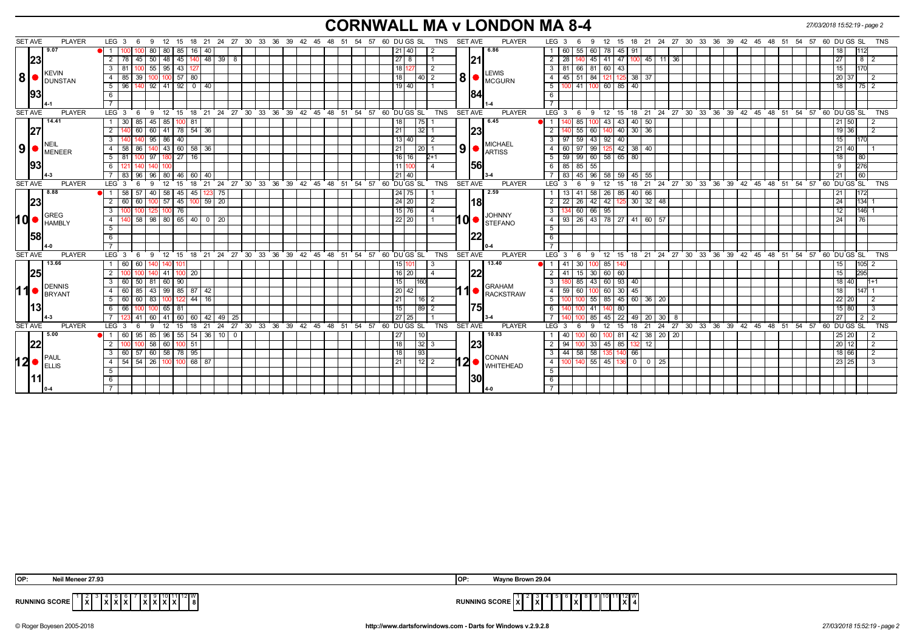# **CORNWALL MA v LONDON MA 8-4** *27/03/2018 15:52:19 - page 2*

| <b>SET AVE</b> | <b>PLAYER</b>                                                 | LEG $3 \quad 6$<br>9<br>12 15                          |                             |                | 18  21  24  27  30  33  36  39  42  45  48  51  54  57  60  DU GS  SL | <b>SET AVE</b><br><b>PLAYER</b><br>TNS                             | LEG 3<br>12 15 18 21 24 27 30 33 36 39 42 45 48 51 54 57 60 DUGS SL<br><b>TNS</b><br>9<br>- 6                     |
|----------------|---------------------------------------------------------------|--------------------------------------------------------|-----------------------------|----------------|-----------------------------------------------------------------------|--------------------------------------------------------------------|-------------------------------------------------------------------------------------------------------------------|
|                | 9.07                                                          | 80<br>80   85                                          | $16$ 40                     |                |                                                                       | 6.86<br>$21$ 40                                                    | 60   78   45   91<br>55<br>60<br>18                                                                               |
|                | 23                                                            | $\overline{2}$<br>50   48   45<br>78 45                | $140$ 48 39 8               |                |                                                                       | $27 \,   \, 8$<br> 21                                              | 2   28   140   45   41   47   100   45   11   36<br>27<br>8 <sup>2</sup>                                          |
|                |                                                               | $55$   95   43  <br>3                                  |                             |                |                                                                       | 18<br>$\overline{2}$                                               | 3   81   66   81   60   43  <br>15                                                                                |
| ∣8∣            | KEVIN<br><b>DUNSTAN</b>                                       | $100$ 57 80<br>39<br>$\overline{4}$<br>85              |                             |                |                                                                       | <b>LEWIS</b><br>8 <sup>1</sup><br>18<br> 40  2<br>MCGURN           | $45 \ 51 \ 84 \ 121$<br>$125 \ 38 \ 37$<br>4 I<br>20 37                                                           |
|                |                                                               | 140 92 41 92 0 40<br>$5 \mid 96 \mid$                  |                             |                |                                                                       | $19$ 40                                                            | $100$ 41 100 60 85 40<br>5<br>18<br>$\begin{array}{c c c c c} \hline 75 & 2 \\ \hline \end{array}$                |
|                | 93                                                            | 6                                                      |                             |                |                                                                       | 84                                                                 | 6                                                                                                                 |
|                |                                                               |                                                        |                             |                |                                                                       |                                                                    | $\overline{7}$                                                                                                    |
| <b>SET AVE</b> | <b>PLAYER</b>                                                 | LEG <sup>3</sup><br>$6\overline{6}$                    |                             |                | 9 12 15 18 21 24 27 30 33 36 39 42 45 48 51 54 57 60 DUGS SL          | TNS<br><b>SET AVE</b><br><b>PLAYER</b>                             | $9$ 12 15 18 21 24 27 30 33 36 39 42 45 48 51 54 57 60 DUGS SL TNS<br>$LEG_3$ 6                                   |
|                | 14.41                                                         | 85<br>$45 \mid 85 \mid$<br>30<br>$\overline{1}$<br>100 | -81                         |                |                                                                       | 6.45<br>18                                                         | 85<br>43<br>43<br>$40 \mid 50$<br>$21 \ 50$<br>100                                                                |
|                | 27                                                            | 60<br>60<br>l 41 l                                     | $78$ 54 $36$                |                |                                                                       | 23<br>$\overline{21}$<br>32                                        | 36<br>$\overline{2}$<br>55<br>60<br>30 <sup>7</sup><br>19 36<br>40                                                |
|                | <b>INEIL</b>                                                  | 95 86<br>40<br>3                                       |                             |                |                                                                       | 13   40<br><b>MICHAEL</b>                                          | 43 92<br>3 <sup>1</sup><br>97<br>59<br>40<br>15 <sup>15</sup>                                                     |
|                | $\vert 9 \vert$ $\bullet$ $\vert_{\text{MENER}}^{\text{NEL}}$ | $140$ 43 60 58 36<br>58<br>86<br>-4                    |                             |                |                                                                       | 9<br>21<br> 20 1<br>$\bullet$ $\overline{\phantom{a}}$ ARTISS      | 60   97   99   125   42   38   40  <br>$\overline{4}$<br>21 40                                                    |
|                |                                                               | $80$   27<br>-5<br>-97                                 | 16 l                        |                |                                                                       | 16<br>$2+1$<br>16 <sup>1</sup>                                     | 60 58 65 80<br>59<br>5<br> 99 <br>18 <sup>1</sup><br>l 80                                                         |
|                | 93                                                            |                                                        |                             |                |                                                                       | 56<br>11<br>$\overline{4}$                                         | 55<br>- 6 I<br>$85 \mid 85$<br>9<br>276                                                                           |
|                |                                                               | 83   96   96   80   46   60   40                       |                             |                |                                                                       | 21   40                                                            | 7   83   45   96   58   59   45   55<br><b>60</b><br>21 <sup>1</sup>                                              |
| <b>SET AVE</b> | <b>PLAYER</b>                                                 | LEG 3<br>12<br>15<br>9                                 |                             |                | 18 21 24 27 30 33 36 39 42 45 48 51                                   | 60 DUGS SL<br>TNS<br><b>SET AVE</b><br><b>PLAYER</b><br>- 54<br>57 | 60 DU GS SL<br>18 21 24 27 30 33 36 39 42 45<br>LEG 3<br>9<br>12 15<br>48 51 54 57<br><b>TNS</b><br>- 6           |
|                | 8.88                                                          | 57<br>58<br>45                                         | 45<br>3 75                  |                |                                                                       | 2.59<br>24<br>75                                                   | 58<br>40<br>26<br>66<br>85                                                                                        |
|                | 23                                                            | $100$ 57 45<br>2<br>60 60                              | $100$ 59 $20$               |                |                                                                       | l18l<br>$\boxed{24}$ 20<br>2                                       | 22 26 42 42 125 30 32 48<br>$\overline{2}$<br>24<br>$134$ 1                                                       |
|                | GREG                                                          | $100$ 76<br>3<br>100                                   |                             |                |                                                                       | 15 76 <br>4<br><b>JOHNNY</b>                                       | 60 66 95<br>$\overline{\mathbf{3}}$<br>12<br>$146$ 1                                                              |
| hd•            | <b>HAMBLY</b>                                                 | 58<br>$\overline{4}$                                   | $98$ 80 65 40 0 20          |                |                                                                       | IQ ●<br>$22$   20  <br><b>STEFANO</b>                              | $93$ 26 43 78 27 41 60 57<br>$\overline{4}$<br>24<br>l 76                                                         |
|                |                                                               | 5                                                      |                             |                |                                                                       |                                                                    | 5                                                                                                                 |
|                | 58                                                            | 6                                                      |                             |                |                                                                       | 22                                                                 | $6\overline{6}$                                                                                                   |
|                |                                                               |                                                        |                             |                |                                                                       |                                                                    | $\overline{7}$                                                                                                    |
| <b>SET AVE</b> | <b>PLAYER</b>                                                 | $12 \t15$<br>LEG <sub>3</sub><br>- 6<br>-9             |                             |                | 18 21 24 27 30 33 36 39 42 45 48 51 54 57 60 DUGS SL                  | TNS<br><b>SET AVE</b><br><b>PLAYER</b>                             | 12 15 18 21 24 27 30 33 36 39 42 45 48 51 54 57 60 DUGS SL TNS<br>LEG <sup>'</sup><br><b>6</b><br>່ 9<br>3        |
|                | 13.66                                                         | 60 <sub>1</sub><br>$\overline{1}$<br>60<br>140  101    |                             |                |                                                                       | 13.40<br>15 1101<br>-3                                             | 30 <sup>1</sup><br>100 85<br>15 <sup>1</sup><br>41<br>$105$ 2                                                     |
|                | 25                                                            | 2<br>41   100                                          | 20 <sub>1</sub>             |                |                                                                       | 22<br>$16$   20 <br>$\overline{a}$                                 | 30 60 60<br>15<br>295<br>$\overline{2}$<br>-41<br>15                                                              |
|                | DENNIS                                                        | 50   81  <br>$60 \mid 90$<br>3<br>-60 I                |                             |                |                                                                       | 15<br>1160<br><b>GRAHAM</b>                                        | $\mathbf{3}$<br>43 60 93 40<br>18 40<br>85<br>$1 + 1$                                                             |
| 11             | BRYANT                                                        | 85<br>43 99 85 87 42<br>4                              |                             |                |                                                                       | 11<br>20 <sub>1</sub><br>42<br>RACKSTRAW                           | $\overline{4}$<br>$59$ 60<br>60 30 45<br>18<br>1001                                                               |
|                |                                                               | 60<br>83<br>-5<br>122                                  | 44<br>16                    |                |                                                                       | $\overline{21}$<br> 16 2                                           | 5<br>55<br>85<br>45 60 36 20<br>22 20                                                                             |
|                | 13                                                            | 66<br>65   81<br>6                                     |                             |                |                                                                       | 75<br> 89 <br>15                                                   | 41<br>15 80<br>6                                                                                                  |
|                |                                                               | $41 \overline{60}$<br>41<br>- 60                       | 60   42   49                | 25             |                                                                       | 27<br>25                                                           | 85<br>22<br> 49 <br>27<br>$20 \mid 30 \mid 8$<br>$\overline{2}$<br>45                                             |
| <b>SET AVE</b> | <b>PLAYER</b>                                                 | LEG <sub>3</sub><br>9<br>12<br>15<br>6                 | 18<br>21                    |                | 24 27 30 33 36 39 42 45 48 51 54 57 60 DUGS SL                        | <b>TNS</b><br><b>SET AVE</b><br><b>PLAYER</b>                      | 33 36 39 42 45 48 51 54 57 60 DUGS SL<br><b>LEG</b><br>18<br>$24$ 27 30<br>-3<br>9<br>12<br>15<br>21<br>TNS<br>-6 |
|                | 5.00                                                          | 95<br>60                                               | 85   96   55   54   36   10 | $\overline{0}$ |                                                                       | 10.83<br>27<br> 10                                                 | 81 42 38 20 20<br>60<br>25 20<br>40                                                                               |
|                | 22                                                            | 58 60 100 51<br>2<br>100                               |                             |                |                                                                       | 23 <br>18<br> 32 3                                                 | 33 45 85<br>$\overline{2}$<br>12<br>$20 \mid 12$<br>94<br>132<br>l 2                                              |
|                | <b>PAUL</b>                                                   | 60 57 60 58 78 95<br>3                                 |                             |                |                                                                       | 18<br> 93 <br>CONAN                                                | 58<br>3 I<br>44<br>58<br>140 66<br>18 66                                                                          |
| 12∣•           | <b>ELLIS</b>                                                  | 54 54 26 100 100 68 87<br>4                            |                             |                |                                                                       | 12<br>21<br><b>WHITEHEAD</b>                                       | 55 45 136 0<br>$-4$<br>23 25<br>0   25                                                                            |
|                |                                                               | 5                                                      |                             |                |                                                                       |                                                                    | 5                                                                                                                 |
|                |                                                               | 6                                                      |                             |                |                                                                       | 30                                                                 | 6                                                                                                                 |
|                |                                                               |                                                        |                             |                |                                                                       |                                                                    | $\overline{7}$                                                                                                    |

| OP:                                                                           | e Brown 29.04                                                                           |
|-------------------------------------------------------------------------------|-----------------------------------------------------------------------------------------|
| leneer 27.93                                                                  | IOP.                                                                                    |
| ّدا ّ`الأا<br><b>RUNNING SCORE</b><br><u>Ixixixi</u><br>________<br>IAIAIAIAI | $11$ 12 W<br><b>RUNNING SCORE</b><br>IXI<br>$\mathbf{I}$ $\mathbf{v}$ $\mathbf{I}$<br>. |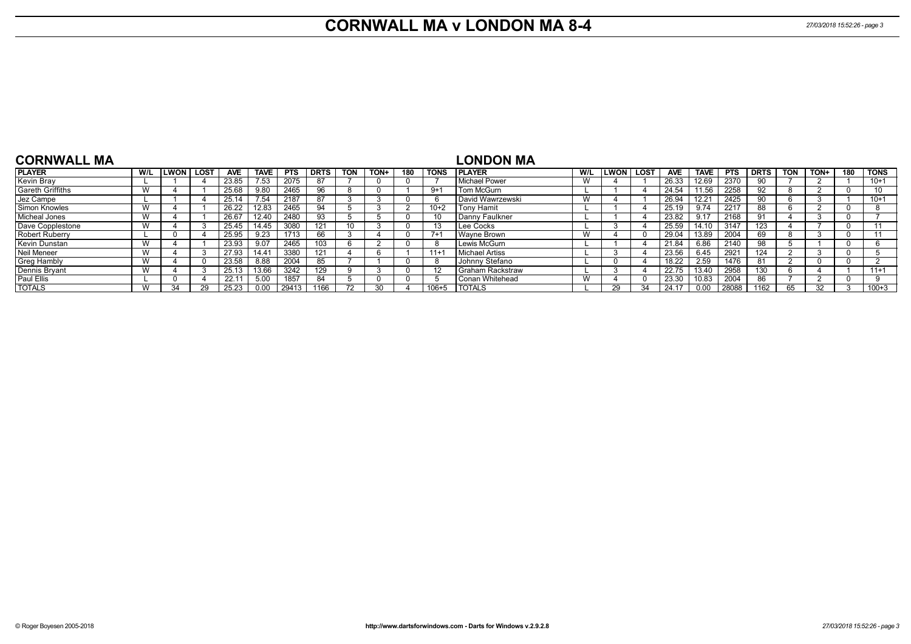# **CORNWALL MA v LONDON MA 8-4** *27/03/2018 15:52:26 - page 3*

| <b>CORNWALL MA</b>    |                                |               |      |            |             |            |             |            |      |     |             | LONDON MA          |     |             |             |            |             |            |             |              |      |     |             |
|-----------------------|--------------------------------|---------------|------|------------|-------------|------------|-------------|------------|------|-----|-------------|--------------------|-----|-------------|-------------|------------|-------------|------------|-------------|--------------|------|-----|-------------|
| <b>PLAYER</b>         | W/L                            | <b>LWON</b> I | LOST | <b>AVE</b> | <b>TAVE</b> | <b>PTS</b> | <b>DRTS</b> | <b>TON</b> | TON+ | 180 | <b>TONS</b> | <b>I PLAYER</b>    | W/L | <b>LWON</b> | <b>LOST</b> | <b>AVE</b> | <b>TAVE</b> | <b>PTS</b> | <b>DRTS</b> | TON          | TON+ | 180 | <b>TONS</b> |
| Kevin Bray            |                                |               |      | 23.85      | 7.53        | 2075       |             |            |      |     |             | l Michael Power    | W   |             |             | 26.33      | 12.69       | 2370       | 90          |              |      |     | $10+1$      |
| Gareth Griffiths      | <b>18</b><br>v v               |               |      | 25.68      | 9.80        | 2465       | 96          | Я.         |      |     | $9+$        | Tom McGurn         |     |             |             | 24.54      | 11.56       | 2258       | 92          | <sup>o</sup> |      |     |             |
| Jez Campe             |                                |               |      | 25.14      | 7.54        | 2187       |             |            |      |     |             | David Wawrzewski   | W   |             |             | 26.94      | 12.21       | 2425       | 90          |              |      |     | $10+1$      |
| Simon Knowles         | W                              |               |      | 26.22      | 12.83       | 2465       | 94          |            |      |     | $10+2$      | <b>Tony Hamit</b>  |     |             |             | 25.19      | 9.74        | 2217       | 88          |              |      |     |             |
| Micheal Jones         | <b>18</b><br>v v               |               |      | 26.67      | 12.40       | 2480       | 93          |            |      |     |             | Danny Faulkner     |     |             |             | 23.82      | 9.17        | 2168       |             |              |      |     |             |
| Dave Copplestone      | V V                            |               |      | 25.45      | 14.45       | 3080       | 121         | 10         |      |     |             | Lee Cocks          |     |             |             | 25.59      | 14.10       | 3147       | 123         |              |      |     |             |
| <b>Robert Ruberry</b> |                                |               |      | 25.95      | 9.23        | 1713       | 66          |            |      |     | $7+$        | Wavne Brown        | W   |             |             | 29.04      | 13.89       | 2004       | 69          | o            |      |     |             |
| Kevin Dunstan         | V V                            |               |      | 23.93      | 9.07        | 2465       | 103         |            |      |     |             | Lewis McGurn       |     |             |             | 21.84      | 6.86        | 2140       | 98          |              |      |     |             |
| Neil Meneer           | W                              |               |      | 27.93      | 14.41       | 3380       | 121         |            |      |     | $11+$       | Michael Artiss     |     |             |             | 23.56      | 6.45        | 2921       | 124         |              |      |     |             |
| <b>Greg Hambly</b>    | $\overline{\mathbf{1}}$<br>v v |               |      | 23.58      | 8.88        | 2004       | 85          |            |      |     |             | Johnny Stefano     |     |             |             | 18.22      | 2.59        | 1476       | 81          |              |      |     |             |
| Dennis Bryant         | <b>18</b><br>v v               |               |      | 25.13      | 13.66       | 3242       | 129         |            |      |     | 12          | I Graham Rackstraw |     |             |             | 22.75      | 13.40       | 2958       | 130         | h            |      |     | $11+1$      |
| <b>Paul Ellis</b>     |                                |               |      | 22.1       | 5.00        | 1857       | 84          |            |      |     |             | l Conan Whitehead  | W   |             |             | 23.30      | 10.83       | 2004       | 86          |              |      |     |             |
| <b>TOTALS</b>         | W                              | 34            |      | 25.23      | 0.00        | 29413      | 1166        |            |      |     | $106 + 5$   | I TOTALS           |     |             | 34          | 24.17      | n nn        | 28088      | 1162        | 65           |      |     | $100 + 3$   |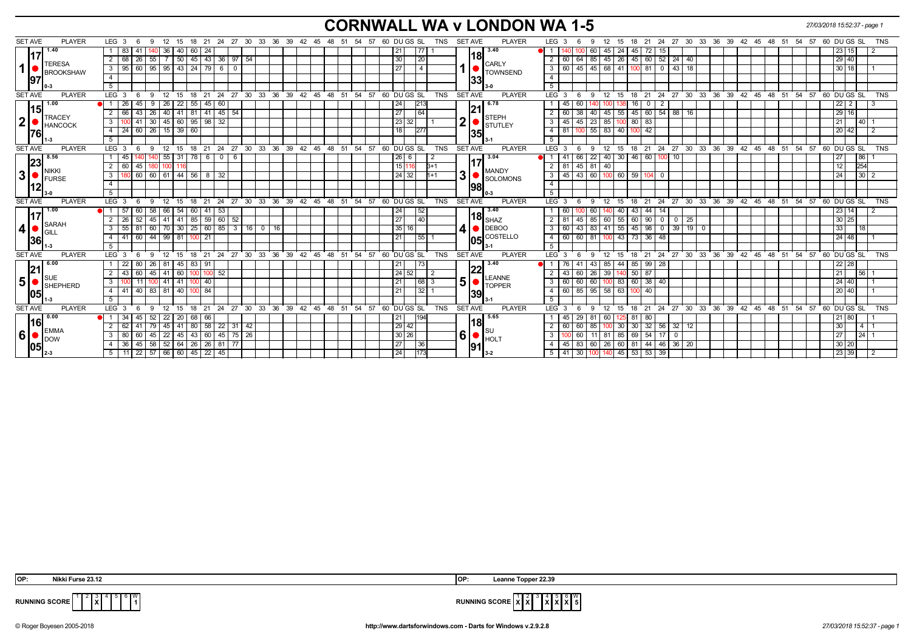# **CORNWALL WA v LONDON WA 1-5** *27/03/2018 15:52:37 - page 1*

| <b>SET AVE</b> | <b>PLAYER</b> | LEG 3                     | 6<br>-9   | 12<br>15                                                    |            | 18 21    |                                 |                |       | 24 27 30 33 36 39 42 45 48 51                        |  | 54 57 |  | 60 DU GS SL     |              | TNS        | <b>SET AVE</b>          |     | <b>PLAYER</b>                                                |                | LEG <sub>3</sub>        |     | 12<br>9             | - 15  |              |                                               |                |             |  |  |  | 18 21 24 27 30 33 36 39 42 45 48 51 54 57 60 DUGS SL    |              |                 | <b>TNS</b> |
|----------------|---------------|---------------------------|-----------|-------------------------------------------------------------|------------|----------|---------------------------------|----------------|-------|------------------------------------------------------|--|-------|--|-----------------|--------------|------------|-------------------------|-----|--------------------------------------------------------------|----------------|-------------------------|-----|---------------------|-------|--------------|-----------------------------------------------|----------------|-------------|--|--|--|---------------------------------------------------------|--------------|-----------------|------------|
|                | 1.40          | 83                        |           | 36 <sup>2</sup>                                             | 40<br>  60 | 24       |                                 |                |       |                                                      |  |       |  | 21              | 77           |            |                         |     | 3.40                                                         |                |                         |     | 45                  | 24    | 45           | 72  <br>15 <sup>2</sup>                       |                |             |  |  |  |                                                         | 23 15        |                 |            |
|                | <b>TERESA</b> | $\overline{2}$<br>68 I    | 26<br>55  |                                                             |            |          | 7   50   45   43   36   97   54 |                |       |                                                      |  |       |  | 30              | 20           |            |                         | 18  |                                                              | 2              | 60                      | 64  | 85 45               | 26    |              | 45 60 52 24 40                                |                |             |  |  |  |                                                         | 29 40        |                 |            |
| 1              | BROOKSHAW     | $\overline{\phantom{a}3}$ |           | $95 \mid 60 \mid 95 \mid 95 \mid 43 \mid 24 \mid 79 \mid 6$ |            |          |                                 | $\overline{0}$ |       |                                                      |  |       |  | $\overline{27}$ | $\sqrt{4}$   |            |                         |     | <b>CARLY</b><br><b>TOWNSEND</b>                              |                | 3   60                  |     | 45 45 68 41         |       |              | $100$ 81 0 43 18                              |                |             |  |  |  |                                                         | $30$ 18      |                 |            |
| 97             |               | $\overline{4}$            |           |                                                             |            |          |                                 |                |       |                                                      |  |       |  |                 |              |            |                         | 33  |                                                              | $\overline{4}$ |                         |     |                     |       |              |                                               |                |             |  |  |  |                                                         |              |                 |            |
|                |               | 5                         |           |                                                             |            |          |                                 |                |       |                                                      |  |       |  |                 |              |            |                         |     |                                                              | 5              |                         |     |                     |       |              |                                               |                |             |  |  |  |                                                         |              |                 |            |
| <b>SET AVE</b> | <b>PLAYER</b> | LEG <sub>3</sub>          | -9<br>-6  | 12                                                          | 18<br>15   | 21       |                                 |                |       | 24 27 30 33 36 39 42 45 48 51 54 57 60 DUGS SL       |  |       |  |                 |              | <b>TNS</b> | <b>SET AVE</b>          |     | <b>PLAYER</b>                                                |                | $LEG^{\prime}$ 3        |     | 12<br>9             | 15    |              |                                               |                |             |  |  |  | 18 21 24 27 30 33 36 39 42 45 48 51 54 57 60 DUGS SL    |              |                 | <b>TNS</b> |
| 15             | 1.00          | 26                        | 45<br>- 9 | 26 <sup>2</sup>                                             | 22<br>55   | 45       | 60                              |                |       |                                                      |  |       |  | 24              | 213          |            |                         | 21  | 6.78                                                         |                | 45                      | 60  |                     |       | 16           | 2<br>$\mathbf{0}$                             |                |             |  |  |  |                                                         | $22 \mid 2$  |                 |            |
|                | <b>TRACEY</b> | $\overline{2}$<br>66      | 43<br>26  |                                                             |            |          | 40 41 81 41 45 54               |                |       |                                                      |  |       |  | 27              | 64           |            |                         |     | <b>STEPH</b>                                                 | $\overline{2}$ | 60                      | 38  | 40 45               |       |              | $55$   45   60   54   88   16                 |                |             |  |  |  |                                                         | 29 16        |                 |            |
| 2 <sub>l</sub> | HANCOCK       | $\mathbf{3}$              | 41<br>30  | $45 \mid 60 \mid 95 \mid 98 \mid 32$                        |            |          |                                 |                |       |                                                      |  |       |  | 23<br>32        |              |            | $\overline{\mathbf{2}}$ |     | <b>STUTLEY</b>                                               | 3              | 45                      |     | 45 23 85            |       | $100$ 80 83  |                                               |                |             |  |  |  | 21                                                      |              | 40 <sup>1</sup> |            |
| 1761           |               | $-4$                      |           | 24 60 26 15 39 60                                           |            |          |                                 |                |       |                                                      |  |       |  | 18              | 277          |            |                         | 35  |                                                              | $\overline{4}$ | l 81                    |     | 100 55 83 40 100 42 |       |              |                                               |                |             |  |  |  |                                                         | 20 42        | $\frac{1}{2}$   |            |
|                |               | 5 <sup>5</sup>            |           |                                                             |            |          |                                 |                |       |                                                      |  |       |  |                 |              |            |                         |     |                                                              | 5              |                         |     |                     |       |              |                                               |                |             |  |  |  |                                                         |              |                 |            |
| <b>SET AVE</b> | <b>PLAYER</b> | LEG <sub>3</sub><br>6     | - 9       | 12 15 18 21 24 27 30 33 36 39 42 45 48 51 54 57 60 DUGS SL  |            |          |                                 |                |       |                                                      |  |       |  |                 |              | <b>TNS</b> | <b>SET AVE</b>          |     | <b>PLAYER</b>                                                |                | LEG <sub>3</sub>        |     | 12<br>9             | 15    |              |                                               |                |             |  |  |  | 18 21 24 27 30 33 36 39 42 45 48 51 54 57 60 DUGS SL    |              |                 | <b>TNS</b> |
| 23             | 8.56          | 45                        |           | $55 \mid 31$                                                | 78 I       | 60       |                                 | - 6            |       |                                                      |  |       |  | $26 \mid 6$     |              |            |                         |     | 3.04                                                         |                | -41                     | 66  | $22 \mid 40 \mid$   |       | 30   46   60 |                                               | 10             |             |  |  |  | 27                                                      |              | 86 <sup>2</sup> |            |
|                | <b>NIKKI</b>  | $\overline{2}$<br>60      | 45   180  | 100 I                                                       |            |          |                                 |                |       |                                                      |  |       |  | 15 116          | $B+1$        |            |                         |     | <b>MANDY</b>                                                 | 2              | 1811                    |     | 45 81 40            |       |              |                                               |                |             |  |  |  | 12                                                      |              | 254             |            |
| 3              | FURSE         | $\mathbf{3}$              |           | 60 60 61 44 56 8 32                                         |            |          |                                 |                |       |                                                      |  |       |  | 24 32           | $11+1$       |            | 3                       |     | <b>SOLOMONS</b>                                              | $\overline{3}$ | $\sqrt{45}$             |     | 43 60 100           |       | 60 59 104    | $\mathbf{0}$                                  |                |             |  |  |  | 24                                                      |              | $30 \mid 2$     |            |
| 12             |               | $\overline{4}$            |           |                                                             |            |          |                                 |                |       |                                                      |  |       |  |                 |              |            |                         | 98  |                                                              | $\overline{4}$ |                         |     |                     |       |              |                                               |                |             |  |  |  |                                                         |              |                 |            |
|                |               | 5                         |           |                                                             |            |          |                                 |                |       |                                                      |  |       |  |                 |              |            |                         |     |                                                              | 5              |                         |     |                     |       |              |                                               |                |             |  |  |  |                                                         |              |                 |            |
| <b>SET AVE</b> | <b>PLAYER</b> | LEG <sup>3</sup><br>- 6   | 9         | $^{\circ}$ 12                                               | 15         |          |                                 |                |       | 18 21 24 27 30 33 36 39 42 45 48 51 54 57 60 DUGS SL |  |       |  |                 |              | <b>TNS</b> | <b>SET AVE</b>          |     | <b>PLAYER</b>                                                |                | LEG <sup>3</sup>        | - 6 | 9<br>$^{\circ}$ 12  | 15    |              |                                               |                |             |  |  |  | 18 21 24 27 30 33 36 39 42 45 48 51 54 57 60 DUGS SL    |              |                 | <b>TNS</b> |
|                | 1.00          | $\bullet$ 1 57            | 60        | 58 66 54 60 41 53                                           |            |          |                                 |                |       |                                                      |  |       |  | 24              | 52           |            |                         |     | 3.40                                                         |                | 60                      |     | 60                  | 40    |              | 43 44 14                                      |                |             |  |  |  |                                                         | $23 \mid 14$ |                 |            |
|                | SARAH         | 2<br>26 <sup>1</sup>      |           | $52$   45   41   41   85   59   60   52                     |            |          |                                 |                |       |                                                      |  |       |  | 27              | $ 40\rangle$ |            |                         |     | 118 $_{\sf SHAZ}$                                            | $\overline{2}$ | 81                      | 45  | 85 60               |       |              | $55 \ 60 \ 90 \ 0 \ 0$                        |                | $\sqrt{25}$ |  |  |  |                                                         | $30 \mid 25$ |                 |            |
| 4              | GILL          | 55<br>$\mathbf{3}$        | 81        | 60   70   30   25   60   85   3   16   0                    |            |          |                                 |                |       | 16                                                   |  |       |  | 35<br>16 I      |              |            | 4                       |     | $\bullet$ DEBOO                                              | 3              | 60                      |     |                     |       |              | 43   83   41   55   45   98   0   39   19   0 |                |             |  |  |  | 33                                                      |              | 18              |            |
| 36             |               | 4.1                       |           | 41 60 44 99 81                                              |            | $100$ 21 |                                 |                |       |                                                      |  |       |  | 21              | 55           |            |                         |     | <b>105</b> COSTELLO                                          | $\overline{4}$ |                         |     | 60 60 81 100        |       |              | 43 73 36 48                                   |                |             |  |  |  |                                                         | 24 48        |                 |            |
|                |               | 5 <sup>5</sup>            |           |                                                             |            |          |                                 |                |       |                                                      |  |       |  |                 |              |            |                         |     |                                                              | 5              |                         |     |                     |       |              |                                               |                |             |  |  |  |                                                         |              |                 |            |
| <b>SET AVE</b> | <b>PLAYER</b> | LEG <sub>3</sub><br>6     | 9         | 12 15 18 21 24 27 30 33 36 39 42 45 48 51 54 57 60 DUGS SL  |            |          |                                 |                |       |                                                      |  |       |  |                 |              | <b>TNS</b> | <b>SET AVE</b>          |     | <b>PLAYER</b>                                                |                | LEG <sub>3</sub>        | - 6 | 12<br>9             |       |              |                                               |                |             |  |  |  | 15 18 21 24 27 30 33 36 39 42 45 48 51 54 57 60 DUGS SL |              |                 | <b>TNS</b> |
|                | 6.00          | 22                        | 80        | 26   81   45   83   91                                      |            |          |                                 |                |       |                                                      |  |       |  | 21              | 73           |            |                         | 22  | 3.40                                                         |                |                         |     | 43 85               |       |              | 44 85 99 28                                   |                |             |  |  |  |                                                         | 22 28        |                 |            |
| 21             | <b>SUE</b>    | $\overline{2}$<br>43 I    | 60        | 45 41 60 100 100 52                                         |            |          |                                 |                |       |                                                      |  |       |  | 24   52         |              |            |                         |     | LEANNE                                                       |                | $-43$                   |     | 60 26 39            |       | 140 50 87    |                                               |                |             |  |  |  | 21                                                      |              | 56 <sup>7</sup> |            |
| 5 <sup>1</sup> | BHEPHERD      | $\mathbf{3}$              |           | 11   100   41   41   100   40                               |            |          |                                 |                |       |                                                      |  |       |  | 21              | 68 3         |            | 5                       |     | <b>TOPPER</b>                                                | 3              | 60                      |     |                     |       |              | 60 60 100 83 60 38 40                         |                |             |  |  |  |                                                         | 24 40        |                 |            |
| 05             |               | 4<br>41 I                 |           | 40 83 81 40 100 84                                          |            |          |                                 |                |       |                                                      |  |       |  | $\overline{21}$ | 32           |            |                         | 39  |                                                              | $\overline{4}$ |                         |     | 60   85   95   58   |       | 63 100 40    |                                               |                |             |  |  |  |                                                         | 20 40        |                 |            |
|                |               | 5                         |           |                                                             |            |          |                                 |                |       |                                                      |  |       |  |                 |              |            |                         |     |                                                              | 5              |                         |     |                     |       |              |                                               |                |             |  |  |  |                                                         |              |                 |            |
| <b>SET AVE</b> | <b>PLAYER</b> | LEG <sub>3</sub><br>-6    | -9        | 12<br>15                                                    | 18         | -21      | 24<br>27                        |                | 30 33 | $36 \quad 39 \quad 42 \quad 45 \quad 48 \quad 51$    |  | 54 57 |  | 60 DU GS SL     |              | <b>TNS</b> | <b>SET AVE</b>          |     | <b>PLAYER</b>                                                |                | LEG <sub>3</sub>        |     | 12<br>9             | 15    | 18           | 21<br>24                                      | 27             | 30 33       |  |  |  | 36 39 42 45 48 51 54 57 60 DUGS SL                      |              |                 | <b>TNS</b> |
| l16l           | 0.00          | 34<br>●I1                 | 45<br>52  | 22                                                          | 20<br>68   | 66       |                                 |                |       |                                                      |  |       |  | 21              | 194          |            |                         |     | 5.65                                                         |                | 45                      | 29  | 60                  |       | 81           | 80                                            |                |             |  |  |  |                                                         | 21 80        |                 |            |
|                | <b>EMMA</b>   | $\overline{2}$<br>62      | 41<br>79  | 45                                                          | 41         |          | 80 58 22 31 42                  |                |       |                                                      |  |       |  | $29$ 42         |              |            |                         | 181 |                                                              | $\overline{2}$ | 60                      | 60  | 85<br>100           | 30    |              | $30$ 32 56 32 12                              |                |             |  |  |  | 30 <sup>1</sup>                                         |              | $4 \mid 1$      |            |
| 6 <sup>1</sup> | <b>DOW</b>    | 80<br>$\mathbf{3}$        | 60<br>45  | 22 45 43 60 45 75 26                                        |            |          |                                 |                |       |                                                      |  |       |  | 30 26           |              |            |                         |     | $\vert 6 \vert$ $\bullet$ $\vert_{\text{HOLT}}^{\text{out}}$ | $\overline{3}$ |                         | 60  | 11 81               | 85    |              | $69$ 54 17                                    | $\overline{0}$ |             |  |  |  | 27                                                      |              | $24 \mid 1$     |            |
| 05             |               | 36<br>-4                  |           | 45   58   52   64   26   26   81                            |            |          |                                 | 77             |       |                                                      |  |       |  | 27              | 36           |            |                         | 91  |                                                              | 4              | 45                      | 83  | 60 26               | 60 81 |              | 44 46 36 20                                   |                |             |  |  |  |                                                         | 30 20        |                 |            |
|                |               | 5                         |           | 11   22   57   66   60   45   22   45                       |            |          |                                 |                |       |                                                      |  |       |  | 24              | 173          |            |                         |     |                                                              |                | 5   41   30   100   140 |     |                     |       |              | 45 53 53 39                                   |                |             |  |  |  |                                                         | 23 39        |                 |            |

| IOP: | Nikki Furse 23.<br>. | ∣OP:<br>-- | ה כי<br><br>_eanne<br>. Lonner<br>---- |
|------|----------------------|------------|----------------------------------------|

 **X**  $3 \mid 4$ **X X** 6 **X** W **5**



© Roger Boyesen 2005-2018 **http://www.dartsforwindows.com - Darts for Windows v.2.9.2.8** *27/03/2018 15:52:37 - page 1*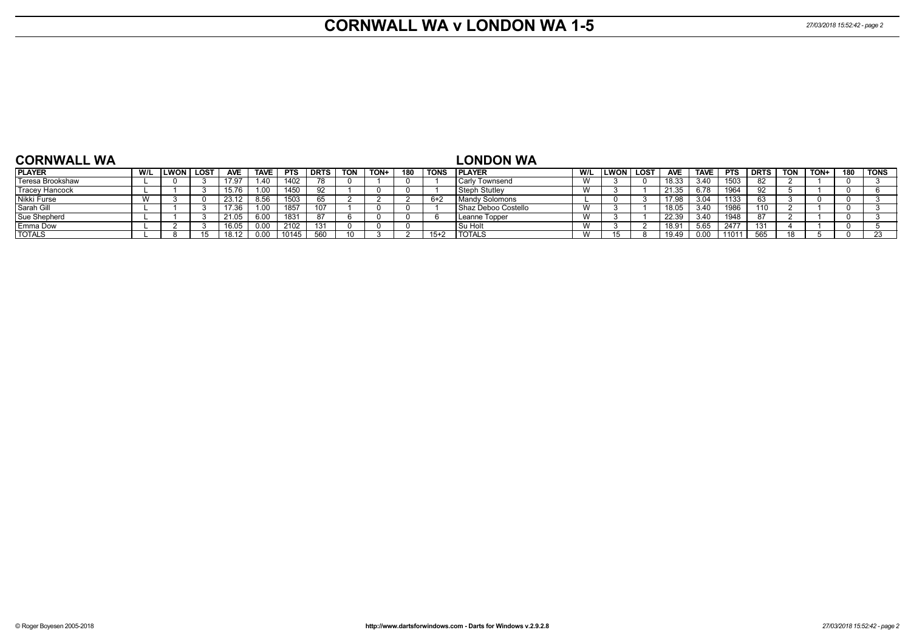#### **CORNWALL WA v LONDON WA 1-5** *27/03/2018 15:52:42 - page 2*

| <b>CORNWALL WA</b>    |     |                     |            |             |            |             |            |      |     |             | _ONDON WA             |     |             |      |            |             |            |             |            |      |     |             |
|-----------------------|-----|---------------------|------------|-------------|------------|-------------|------------|------|-----|-------------|-----------------------|-----|-------------|------|------------|-------------|------------|-------------|------------|------|-----|-------------|
| <b>PLAYER</b>         | W/L | <b>ILWON   LOST</b> | <b>AVE</b> | <b>TAVE</b> | <b>PTS</b> | <b>DRTS</b> | <b>TON</b> | TON+ | 180 | <b>TONS</b> | <b>IPLAYER</b>        | W/L | <b>LWON</b> | LOST | <b>AVE</b> | <b>TAVE</b> | <b>PTS</b> | <b>DRTS</b> | <b>TON</b> | TON+ | 180 | <b>TONS</b> |
| Teresa Brookshaw      |     |                     | 17.97      | .40         | 1402       |             |            |      |     |             | <b>Carly Townsend</b> |     |             |      | 18.33      | 3.40        | 1503       | 82          |            |      |     |             |
| <b>Tracey Hancock</b> |     |                     | 15.76      | .00         | 1450       | 92          |            |      |     |             | l Steph Stutlev       |     |             |      | 21.35      | 6.78        | 1964       |             |            |      |     |             |
| Nikki Furse           |     |                     | 23.12      | .56         | 1503       | 65          |            |      |     | $6 + 2$     | Mandy Solomons        |     |             |      | 17.98      |             | 1133       |             |            |      |     |             |
| Sarah Gill            |     |                     | 17.36      | .00         | 1857       | 107         |            |      |     |             | Shaz Deboo Costello   |     |             |      | 18.05      | 3,40        | 1986       |             |            |      |     |             |
| Sue Shepherd          |     |                     | 21.05      |             | 1831       | 87          |            |      |     |             | Leanne Topper         |     |             |      | 22.39      |             | 1948       |             |            |      |     |             |
| <b>Emma Dow</b>       |     |                     | 16.05      |             | 2102       | 131         |            |      |     |             | l Su Holt             |     |             |      | 18.91      | 5.65        | 2477       | 131         |            |      |     |             |
| <b>TOTALS</b>         |     |                     | 18.12      |             |            | 560         |            |      |     | $15+2$      | <b>I TOTALS</b>       |     |             |      | 19.49      |             | 11011      | 565         |            |      |     |             |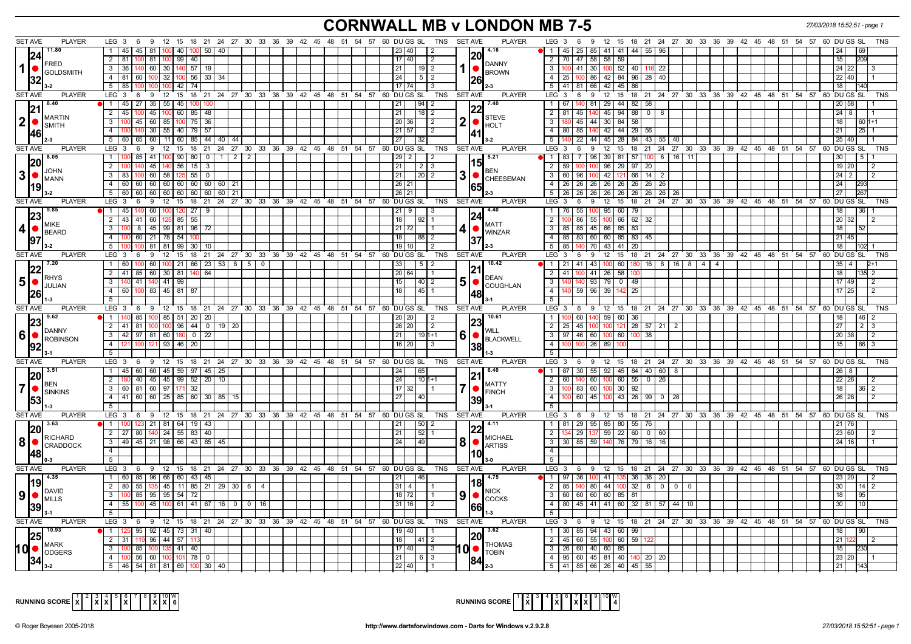# **CORNWALL MB v LONDON MB 7-5** *27/03/2018 15:52:51 - page 1*

| <b>SET AVE</b><br><b>PLAYER</b>                                                    | $LEG_3$ 6                                                                 |                                                |                                                              | 9 12 15 18 21 24 27 30 33 36 39 42 45 48 51 54 57 60 DU GS SL TNS SETAVE        | PLAYER                                | LEG <sub>3</sub><br>9 12 15 18 21 24 27 30 33 36 39 42 45 48 51 54 57 60 DUGS SL<br>- 6<br><b>TNS</b>         |
|------------------------------------------------------------------------------------|---------------------------------------------------------------------------|------------------------------------------------|--------------------------------------------------------------|---------------------------------------------------------------------------------|---------------------------------------|---------------------------------------------------------------------------------------------------------------|
| 11.80                                                                              | 45   45   81   100   40   100   50   40                                   |                                                |                                                              | 23 40<br>I 2                                                                    | 4.16                                  | 1   45   25   85   41   41   44   55   96<br>24                                                               |
| 24                                                                                 | 2   81<br>100 81 100 99 40                                                |                                                |                                                              | 17   40  <br>$\sqrt{2}$                                                         | <b>20</b>                             | 2   70   47   58   58   59<br>15                                                                              |
| <b>FRED</b><br>$1$ $\bullet$                                                       | 3 36 140 60 30 140 57 19                                                  |                                                |                                                              | 21  <br> 19 2                                                                   | DANNY<br>1   ●                        | 3   100   41   30   100   52   40   116   22<br>$24 \overline{22}$                                            |
| <b>GOLDSMITH</b>                                                                   | 4 81 60 100 32 100 56 33 34                                               |                                                |                                                              | 24<br>$1512$                                                                    | <b>BROWN</b>                          | 4   25   100   86   42   84   96   28   40<br>22 40                                                           |
| 32                                                                                 | $5 \mid 85 \mid$<br>$100$ 42 74                                           |                                                |                                                              | $17$ $74$                                                                       | 26                                    | 5 41 81 66 42 45 86<br>18                                                                                     |
| SET AVE<br><b>PLAYER</b>                                                           | $9 \quad 12 \quad 15$<br>LEG $3 \quad 6$                                  |                                                | 18 21 24 27 30 33 36 39 42 45 48 51 54 57 60 DUGS SL         | TNS                                                                             | <b>PLAYER</b><br><b>SET AVE</b>       | 12<br>15<br>18 21 24 27 30 33 36 39 42 45 48 51 54 57 60 DUGS SL<br>LEG 3<br>6<br>9<br>TNS                    |
| <b>840</b>                                                                         | 1   45   27   35   55   45   100                                          |                                                |                                                              | $\left  \frac{94}{2} \right $<br> 21                                            | 7.40                                  | - 1 - I<br>29 44 82 58<br>67<br>140 81<br>20 58                                                               |
| 21                                                                                 | 45 100 <br>$2 \mid 45$<br>100                                             | 60 85<br>48                                    |                                                              | 21 <br>  18   2                                                                 |                                       | 45 94<br>$2 \mid 81$<br>$145$ 140<br>88 0<br>$24 \overline{8}$<br>-8                                          |
| <b>IMARTIN</b><br> 2                                                               | $100$ 45 60 85 100 75<br>$\overline{3}$                                   | 36                                             |                                                              | $\sqrt{20}$ 36<br>$\overline{2}$                                                | <b>STEVE</b><br>2  <sub>•</sub>       | 45 44 30 84<br>$\overline{3}$<br>58<br>18<br>60 1+1                                                           |
| <b>SMITH</b>                                                                       | 30 55 40 79 57<br>$\overline{4}$<br>140                                   |                                                |                                                              | 21 57<br>$\sqrt{2}$                                                             | <b>HOLT</b>                           | 80 85 140 42 44 29 56<br>4<br>21                                                                              |
| 46                                                                                 | 65 60 11 60 85<br>5 60                                                    | 44 40 44                                       |                                                              | 27                                                                              |                                       | 22 44 45 28<br>84 43 55 40<br>25 40<br>5 <sup>1</sup>                                                         |
| <b>SET AVE</b><br><b>PLAYER</b>                                                    | $LEG_36$                                                                  |                                                | 9 12 15 18 21 24 27 30 33 36 39 42 45 48 51 54 57 60 DUGS SL | <b>TNS</b>                                                                      | <b>SET AVE</b><br><b>PLAYER</b>       | LEG <sub>3</sub><br>6 9 12 15<br>18 21 24 27 30 33 36 39 42 45 48 51 54 57 60 DUGS SL<br><b>TNS</b>           |
| $\vert 8.05 \vert$                                                                 | 1 1100                                                                    | 85   41   100   90   80   0   1   2   2        |                                                              | $29$   2  <br>$\overline{2}$                                                    | 5.21                                  | $\overline{1}$ 83<br>96 39 81 57 100 6 16 11                                                                  |
| 20 <br><b>JOHN</b>                                                                 | 45   140<br>2<br>56                                                       | 15 <br>-3                                      |                                                              | 21<br>$2$   3                                                                   | 15<br>BEN                             | $\overline{2}$<br>59<br>$96 \mid 29$<br>97 20<br>19 20                                                        |
| $3$ $\bullet$ $\frac{100}{}{\rm MANN}$                                             | 60 58<br>$\mathbf{3}$<br><b>83</b>                                        | $125$ 55<br>$\overline{\mathbf{0}}$            |                                                              | $\overline{21}$<br>12012                                                        | 3 ●<br>CHEESEMAN                      | $3 \mid 60$<br>96<br>100 42 121<br>66 14<br>$24$ 2                                                            |
|                                                                                    | $\overline{4}$<br>60 60 60 60 60 60 60 60 60 21                           |                                                |                                                              | $26$   21                                                                       | 65                                    | 4 26 26 26 26 26<br>24<br>26   26  <br>26                                                                     |
|                                                                                    | $5   60   60   60   60   60   60   60   60   21$                          |                                                |                                                              | 26 21                                                                           |                                       | $5 \mid 26 \mid 26 \mid 26 \mid 26 \mid 26$<br>  26   26   26   26  <br>27                                    |
| <b>SET AVE</b><br><b>PLAYER</b>                                                    | LEG 3 6 9 12 15 18 21 24 27 30 33 36 39 42 45 48 51 54 57 60 DUGS SL      |                                                |                                                              | TNS                                                                             | <b>PLAYER</b><br>SET AVE              | LEG 3 6 9 12 15 18 21 24 27 30 33 36 39 42 45 48 51 54 57 60 DUGS SL<br>TNS                                   |
| <b>19.85</b>                                                                       | 1 45 40 60 100 120 27 9                                                   |                                                |                                                              |                                                                                 | 4.40                                  | 1   76<br>-55 I<br>95 60 79                                                                                   |
| <b>MIKE</b>                                                                        | 43 41 60 125 85 55<br>$\overline{2}$                                      |                                                |                                                              | 19211                                                                           | MATT                                  | $\overline{2}$<br>86 55 100 66<br>$62 \mid 32$<br><b>20</b>                                                   |
| $ 4 $ $\bullet$ $ _{\tt BEARD}$                                                    | $100 \quad 8 \quad 45 \quad 99 \quad 81 \quad 96$<br>$3^{\circ}$          | 72                                             |                                                              | 21   72  <br>11                                                                 | <b>WINZAR</b>                         | 3 85 85 45 66 85<br>  83  <br>  18                                                                            |
| 97                                                                                 | 100 60 21 78 54<br>$\overline{4}$                                         |                                                |                                                              | 88   2                                                                          |                                       | 4   85   83   60   60   85   83   45<br>21<br>l 45                                                            |
| $3 - 2$                                                                            | 81 81<br>5   100                                                          | 99   30  <br>10                                |                                                              | 19                                                                              |                                       | $5 \mid 85$<br>43 41<br>70 I<br>20 I<br>18                                                                    |
| SET AVE<br><b>PLAYER</b>                                                           | $LEG_36$<br>9                                                             |                                                | 12 15 18 21 24 27 30 33 36 39 42 45 48 51 54 57 60 DUGS SL   | <b>TNS</b>                                                                      | <b>SET AVE</b><br><b>PLAYER</b>       | LEG 3<br>15 18 21 24 27 30 33 36 39 42 45 48 51 54 57 60 DUGS SL<br><b>TNS</b><br>6<br>9<br>$12 \overline{ }$ |
| 17.20<br> 22                                                                       | $1 \overline{60}$                                                         | $100$ 60   100   21   66   23   53   8   5   0 |                                                              | 1512<br>33                                                                      | 10.42<br>21                           | 1   21   41   43   100   60   180   16   8   16   8   4   4  <br>$35 \mid 4$                                  |
| <b>RHYS</b>                                                                        | 2 41 85 60 30 81                                                          | 64                                             |                                                              | 20 64                                                                           | DEAN                                  | $2 \mid 41$<br>100 41 26 58<br>18                                                                             |
| 5 ● <br>JULIAN                                                                     | 140 41 140 41 99<br>3                                                     |                                                |                                                              | 15 <sup>1</sup><br> 40  2                                                       | 51●<br><b>COUGHLAN</b>                | $140$ 93 79 0 49<br>- 3 I<br>17 49<br>4 I<br>140                                                              |
| 26                                                                                 | 60 100 83 45 81 87                                                        |                                                |                                                              | 18<br>I 45 I 1                                                                  |                                       | 59   96   39   142<br>25<br>$17$   25<br>2<br>5                                                               |
| <b>SET AVE</b><br><b>PLAYER</b>                                                    |                                                                           |                                                |                                                              | LEG 3 6 9 12 15 18 21 24 27 30 33 36 39 42 45 48 51 54 57 60 DUGS SL TNS        | <b>SET AVE</b><br><b>PLAYER</b>       | LEG 3 6 9 12 15 18 21 24 27 30 33 36 39 42 45 48 51 54 57 60 DUGS SL<br>TNS                                   |
| $\sqrt{9.62}$                                                                      | 85 100 85 51 20 20<br>1   140                                             |                                                |                                                              | 20   20  <br>$\sqrt{2}$                                                         | 10.61                                 | 60 140<br>59 60 36<br>18<br>46                                                                                |
| 23                                                                                 | 2 41 81 100 100 96 44 0 19 20                                             |                                                |                                                              | 26 20 <br>$\vert$ 2                                                             | 23                                    | 2   25   45   100   100   121   28   57   21   2<br>27<br>$\overline{2}$<br>3                                 |
| ∥DANNY<br>6   <b>COBINSON</b>                                                      | 42 97 81 60 180 0<br>3                                                    | 22                                             |                                                              | 21  <br>$1191+1$                                                                | WILL<br>$6$   $\bullet$               | 3   97   46   60   100   60  <br>20 38<br>100 38<br>$\overline{2}$                                            |
| 92                                                                                 | $\overline{4}$<br>121 93 l                                                | $46 \mid 20$                                   |                                                              | 16   20                                                                         | <b>BLACKWELL</b><br>38                | 4<br>l 26 l<br>89<br>15                                                                                       |
|                                                                                    | 5                                                                         |                                                |                                                              |                                                                                 |                                       | 5 <sup>1</sup>                                                                                                |
| SET AVE<br><b>PLAYER</b>                                                           | $LEG_36$                                                                  |                                                | 9 12 15 18 21 24 27 30 33 36 39 42 45 48 51 54 57 60 DUGS SL | TNS                                                                             | <b>SET AVE</b><br><b>PLAYER</b>       | $LEG \ 3$<br>6 9 12 15 18 21 24 27 30 33 36 39 42 45 48<br>51 54 57 60 DU GS SL<br><b>TNS</b>                 |
| $\sqrt{3.51}$                                                                      | 1   45   60   60   45   59   97   45   25                                 |                                                |                                                              |                                                                                 | 6.40                                  | 1   87<br>  30   55   92   45   84   40   60   8                                                              |
| 20 <br><b>I</b> BEN                                                                | 40   45   45   99   52   20   10<br>2 180                                 |                                                |                                                              |                                                                                 |                                       |                                                                                                               |
| $\mathbf{7}$<br><b>SINKINS</b>                                                     | 3 60 81 60 97 171 32                                                      |                                                |                                                              | 24<br>  10   1+1                                                                |                                       | 140 60 100 60 55 0<br>26<br>2   60<br>22<br>26                                                                |
|                                                                                    |                                                                           |                                                |                                                              | $17$ 32                                                                         | MATTY                                 | 3   100   83   60   100   30  <br>92<br>18<br>$\overline{2}$                                                  |
|                                                                                    | 4 4 41 60 60 25 85 60 30 85                                               | 15                                             |                                                              |                                                                                 | <b>FINCH</b>                          | $60$   45   100   43   26   99   0   28<br>4<br>26<br>28                                                      |
| 53 <br>11-3                                                                        | 5                                                                         |                                                |                                                              |                                                                                 |                                       | 5                                                                                                             |
| <b>SET AVE</b><br><b>PLAYER</b>                                                    | LEG 3 6 9 12 15 18 21 24 27 30 33 36 39 42 45 48 51 54 57 60 DUGS SL      |                                                |                                                              | TNS SET AVE                                                                     | <b>PLAYER</b>                         | LEG 3 6 9 12 15 18 21 24 27 30 33 36 39 42 45 48 51 54 57 60 DUGS SL<br>TNS                                   |
| 13.63                                                                              | 1 100 123 21 81 64 19 43                                                  |                                                |                                                              | $\overline{50}$ 2<br> 21                                                        | 4.11                                  | 1   81   29   95   85   80   55   76<br>21 76                                                                 |
| 20                                                                                 | 2   27   80   140   24   55   83                                          | 40                                             |                                                              | 21<br>52 1                                                                      | 122                                   | $29 \mid 137 \mid 59 \mid 22 \mid 60 \mid 0$<br>2<br>$\overline{60}$<br>23 60                                 |
| RICHARD                                                                            | 3 49 45 21 98 66 43 85 45                                                 |                                                |                                                              | l 49 l<br>  24                                                                  | <b>MICHAEL</b><br>8 <br><b>ARTISS</b> | 3 30 85 59 140 76 79 16 16<br>24 16                                                                           |
|                                                                                    | $\overline{4}$                                                            |                                                |                                                              |                                                                                 |                                       | 4                                                                                                             |
| $0 - 3$                                                                            | 51                                                                        |                                                |                                                              |                                                                                 |                                       | 5                                                                                                             |
| 8   CRADDOCK<br><b>SET AVE</b><br><b>PLAYER</b>                                    |                                                                           |                                                |                                                              | LEG 3 6 9 12 15 18 21 24 27 30 33 36 39 42 45 48 51 54 57 60 DUGS SL TNS SETAVE | <b>PLAYER</b>                         | 6 9 12 15 18 21 24 27 30 33 36 39 42 45 48 51 54 57 60 DUGSSL<br>LEG 3<br>TNS                                 |
| 4.35                                                                               | 1 60 85 96 66 60 43 45                                                    |                                                |                                                              | 21  <br>146                                                                     | 4.75                                  | 1 1   97   36   100   41   135   36   36   20<br>  23   20                                                    |
| <b>DAVID</b>                                                                       | 2   80   55   135   45   11   85   21   29   30   6   4                   |                                                |                                                              | $31 \mid 4 \mid$                                                                | 18<br>NICK                            | 2   85   140   80   44   100   32   6   0   0   0<br>30<br>$14$   2                                           |
|                                                                                    | 3 100 85 95 95 54 72                                                      |                                                |                                                              | $18$   72  <br>I 1                                                              | $9$   $\bullet$<br><b>COCKS</b>       | 3   60   60   60   60   85   81<br>18                                                                         |
| 39                                                                                 | 4 55 100 45 100 61 41 67 16 0 0 16                                        |                                                |                                                              | 31   16  <br>l 2                                                                | 1661                                  | 4   80   45   41   41   60   32   81   57   44   10<br>30<br>10                                               |
| <b>SET AVE</b><br><b>PLAYER</b>                                                    | 5<br>LEG 3 6 9 12 15 18 21 24 27 30 33 36 39 42 45 48 51 54 57 60 DUGS SL |                                                |                                                              | TNS SET AVE                                                                     | <b>PLAYER</b>                         | 5<br>LEG 3 6 9 12 15 18 21 24 27 30 33 36 39 42 45 48 51 54 57 60 DUGS SL<br><b>TNS</b>                       |
| 10.93                                                                              | $1 \quad 125$                                                             |                                                |                                                              | 19 40                                                                           | 3.62                                  | 1 30 85 94 43 60 99<br>18 <sup>1</sup><br>90                                                                  |
|                                                                                    | 95 92 45 73 31 40<br>119 96 44 57<br>$2 \mid 31 \mid$                     |                                                |                                                              | 18<br> 41 2                                                                     | 20                                    | 2 45 60 55 100 60 59<br>21                                                                                    |
| $\vert 9 \vert$ $\bullet$ $\vert_{\texttt{MILLS}}^{\texttt{UAVID}}$<br><b>MARK</b> | 85   100   135   41   40<br>3                                             |                                                |                                                              | 17   40  <br>$\vert$ 3                                                          | <b>THOMAS</b>                         | 3 26 60 40 60 85<br>15                                                                                        |
| $10$ $\bullet$ $\sim$ $\sim$                                                       | 4 100 56 60 100 101 78 0<br>5   46   54   81   81   69   100   30   40    |                                                |                                                              | 21 <br>$613$<br> 22 40                                                          | 10 ●<br><b>TOBIN</b>                  | 4   95   60   45   81   40   140   20   20<br>23 20<br>5   41   85   66   26   40   45   55                   |



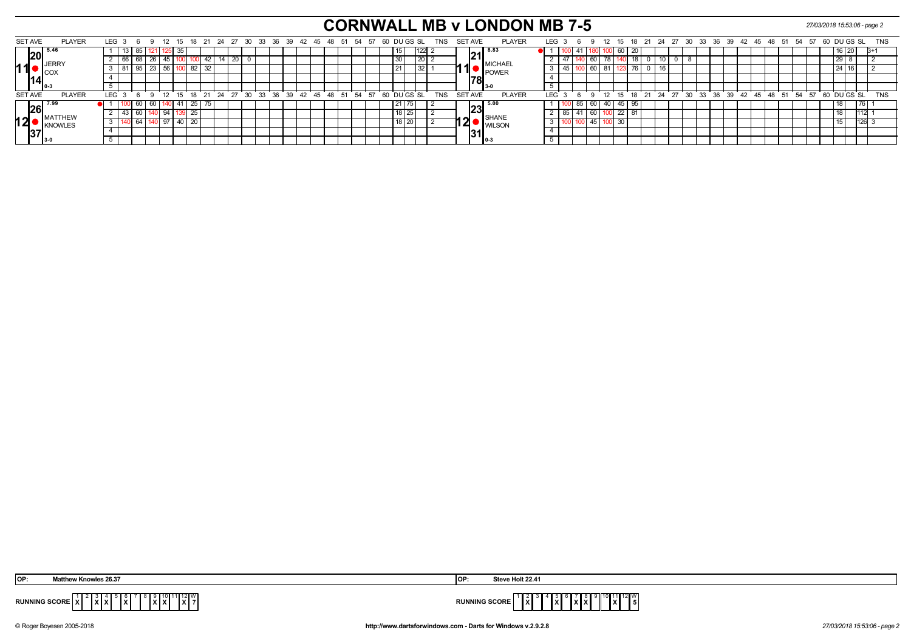# **CORNWALL MB v LONDON MB 7-5** *27/03/2018 15:53:06 - page 2*

| <b>SET AVE</b> |      | <b>PLAYER</b>                 | LEG <sub>3</sub> |    | 69 |       |     |     |                    |                 |                 |  | 12 15 18 21 24 27 30 33 36 39 42 45 48 51 54 57 60 DUGS SL |  |  |  |  |  |         |            |     | TNS        | SET AVE |                | <b>PLAYER</b>              | LEG 3 |        | 69                 |      |               |       |            |   |                 |  |  |  |  |                                                         |  |  |      |  | 12 15 18 21 24 27 30 33 36 39 42 45 48 51 54 57 60 DUGS SL TNS |  |
|----------------|------|-------------------------------|------------------|----|----|-------|-----|-----|--------------------|-----------------|-----------------|--|------------------------------------------------------------|--|--|--|--|--|---------|------------|-----|------------|---------|----------------|----------------------------|-------|--------|--------------------|------|---------------|-------|------------|---|-----------------|--|--|--|--|---------------------------------------------------------|--|--|------|--|----------------------------------------------------------------|--|
|                | I20I |                               |                  |    |    |       |     | -35 |                    |                 |                 |  |                                                            |  |  |  |  |  |         |            | 122 |            |         |                | <b>8.83</b>                |       |        |                    |      |               | -60 I |            |   |                 |  |  |  |  |                                                         |  |  | ט בט |  |                                                                |  |
|                |      | <b>IIJERRY</b>                |                  | bb |    | -26 I | 45  |     |                    |                 | $\overline{20}$ |  |                                                            |  |  |  |  |  |         | 1 ZU 1     |     |            |         | 21             | <b>MICHAEL</b>             |       |        |                    | 60   |               |       |            |   |                 |  |  |  |  |                                                         |  |  |      |  |                                                                |  |
| 11             |      | $\blacksquare$ $\blacksquare$ |                  |    | Y. | -23 I | -56 |     | 82                 | $\overline{3}2$ |                 |  |                                                            |  |  |  |  |  |         |            | 32  |            |         |                | <b>POWER</b>               |       | l 45 l |                    |      | $160$ 81      |       | $\sqrt{6}$ | U | 16 <sub>1</sub> |  |  |  |  |                                                         |  |  |      |  |                                                                |  |
|                |      |                               |                  |    |    |       |     |     |                    |                 |                 |  |                                                            |  |  |  |  |  |         |            |     |            |         | 781            |                            |       |        |                    |      |               |       |            |   |                 |  |  |  |  |                                                         |  |  |      |  |                                                                |  |
|                |      |                               |                  |    |    |       |     |     |                    |                 |                 |  |                                                            |  |  |  |  |  |         |            |     |            |         |                |                            |       |        |                    |      |               |       |            |   |                 |  |  |  |  |                                                         |  |  |      |  |                                                                |  |
| <b>SET AVE</b> |      | <b>PLAYER</b>                 | LEG <sub>3</sub> |    |    |       |     |     |                    |                 |                 |  | 12 15 18 21 24 27 30 33 36 39 42 45 48 51 54 57            |  |  |  |  |  |         | 60 DUGS SL |     | <b>TNS</b> |         | <b>SET AVE</b> | <b>PLAYER</b>              | LEG   |        |                    |      | $^{\circ}$ 12 |       |            |   |                 |  |  |  |  | 15 18 21 24 27 30 33 36 39 42 45 48 51 54 57 60 DUGS SL |  |  |      |  | <b>TNS</b>                                                     |  |
|                |      | $\sqrt{26}$ <sup>7.9°</sup>   |                  |    | 60 |       |     |     | 60   140   41   25 |                 |                 |  |                                                            |  |  |  |  |  |         |            |     |            |         |                | $\sqrt{23}^{5.00}$         |       |        | 185   60   40   45 |      |               |       | -95        |   |                 |  |  |  |  |                                                         |  |  |      |  |                                                                |  |
|                |      | <b>IMATTHEW</b>               |                  |    |    |       |     |     | $\overline{25}$    |                 |                 |  |                                                            |  |  |  |  |  | 18   25 |            |     |            |         |                |                            |       | 85     |                    | 60 I |               | 22    |            |   |                 |  |  |  |  |                                                         |  |  |      |  |                                                                |  |
| 12             |      | KNOWLES                       |                  |    |    |       |     |     | - 20               |                 |                 |  |                                                            |  |  |  |  |  | 10 I ZU |            |     |            |         |                | <b>WILSON</b>              |       |        |                    |      |               | 30    |            |   |                 |  |  |  |  |                                                         |  |  |      |  |                                                                |  |
|                |      |                               |                  |    |    |       |     |     |                    |                 |                 |  |                                                            |  |  |  |  |  |         |            |     |            |         |                | $\left\ 31\right\ _\infty$ |       |        |                    |      |               |       |            |   |                 |  |  |  |  |                                                         |  |  |      |  |                                                                |  |
|                |      |                               |                  |    |    |       |     |     |                    |                 |                 |  |                                                            |  |  |  |  |  |         |            |     |            |         |                |                            |       |        |                    |      |               |       |            |   |                 |  |  |  |  |                                                         |  |  |      |  |                                                                |  |

| <b>OP:</b>                                                     | Steve Holt 22.41     |
|----------------------------------------------------------------|----------------------|
| v Knowles 26.37                                                | ାଠା                  |
| 1∥12∥W I<br>$\sim$ .<br>.<br>IXIX<br>.<br>1 A I<br>.<br>$\sim$ | <b>RUNNING SCORE</b> |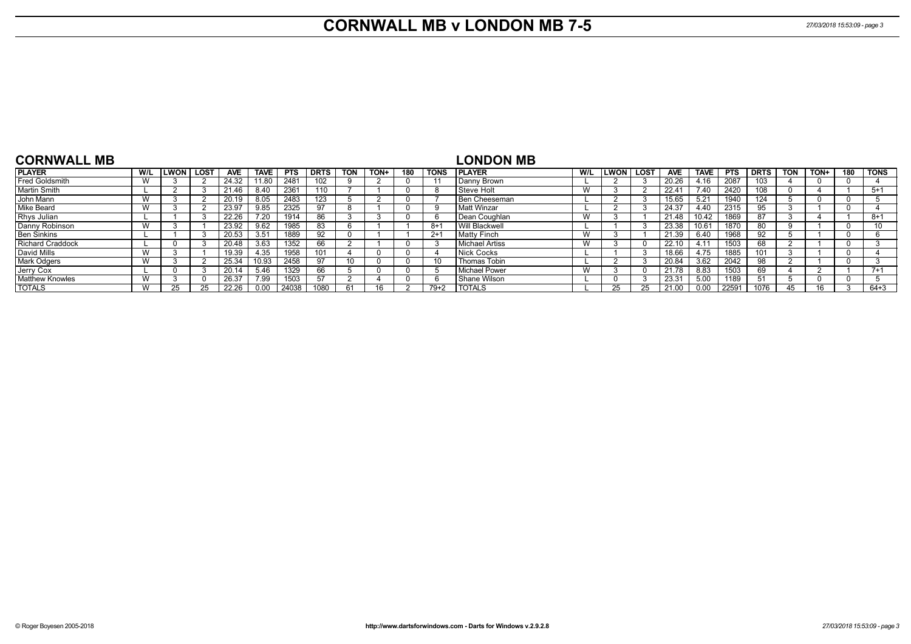# **CORNWALL MB v LONDON MB 7-5** *27/03/2018 15:53:09 - page 3*

| <b>CORNWALL MB</b>      |              |             |      |            |                   |            |             |            |      |     |             | <b>LONDON MB</b>      |     |             |        |            |             |            |             |            |      |          |             |
|-------------------------|--------------|-------------|------|------------|-------------------|------------|-------------|------------|------|-----|-------------|-----------------------|-----|-------------|--------|------------|-------------|------------|-------------|------------|------|----------|-------------|
| <b>PLAYER</b>           | W/L          | <b>LWON</b> | LOST | <b>AVE</b> | <b>TAVE</b>       | <b>PTS</b> | <b>DRTS</b> | <b>TON</b> | TON+ | 180 | <b>TONS</b> | <b>IPLAYER</b>        | W/L | <b>LWON</b> | l lost | <b>AVE</b> | <b>TAVE</b> | <b>PTS</b> | <b>DRTS</b> | <b>TON</b> | TON+ | 180      | <b>TONS</b> |
| Fred Goldsmith          | W            |             |      | 24.32      | 11.80             | 2481       | 102         |            |      |     |             | Danny Brown           |     |             |        | 20.26      | 4.16        | 2087       | 103         |            |      | 0        |             |
| <b>Martin Smith</b>     |              |             |      | 21.46      | 8.40              | 2361       | 110         |            |      |     | 8           | Steve Holt            | W   |             |        | 22.41      | 7.40        | 2420       | 108         |            |      |          | $5+1$       |
| John Mann               | W            |             |      | 20.19      | 8.05              | 2483       |             |            |      |     |             | Ben Cheeseman         |     |             |        | 15.65      | 5.21        | 1940       | 124         |            |      | -0       |             |
| Mike Beard              | W            |             |      | 23.97      | 9.85              | 2325       | 97          |            |      |     |             | <b>Matt Winzar</b>    |     |             |        | 24.37      | 4.40        | 2315       | 95          |            |      | 0        |             |
| Rhys Julian             |              |             |      | 22.26      | $7.\overline{20}$ | 1914       | 86          |            |      |     | n           | Dean Coughlan         | W   |             |        | 21.48      | 10.42       | 1869       | 87          |            |      |          | $8+1$       |
| Danny Robinson          | $\mathbf{M}$ |             |      | 23.92      | 9.62              | 1985       | 83          |            |      |     | -8+         | Will Blackwell        |     |             |        | 23.38      | 10.61       | 1870       | 80          |            |      | -0       |             |
| <b>Ben Sinkins</b>      |              |             |      | 20.53      | 3.51              | 1889       | 92          |            |      |     | $2+1$       | <b>Matty Finch</b>    | W   |             |        | 21.39      | 6.40        | 1968       | 92          |            |      | $\Omega$ |             |
| <b>Richard Craddock</b> |              |             |      | 20.48      | 3.63              | 1352       | 66          |            |      |     |             | <b>Michael Artiss</b> | W   |             |        | 22.10      | 4.11        | 1503       | 68          |            |      | $\Omega$ |             |
| David Mills             | W            |             |      | 19.39      | 4.35              | 1958       | 101         |            |      |     |             | Nick Cocks            |     |             |        | 18.66      | 4.75        | 1885       | 101         |            |      | 0        |             |
| <b>Mark Odgers</b>      | W            |             |      | 25.34      | 10.93             | 2458       | 97          |            |      |     |             | Thomas Tobin          |     |             |        | 20.84      | 3.62        | 2042       | 98          |            |      | $\Omega$ |             |
| Jerry Cox               |              |             |      | 20.14      | 5.46              | 1329       | 66          |            |      |     |             | <b>Michael Power</b>  | W   |             |        | 21.78      | 8.83        | 1503       | 69          |            |      |          | $7+1$       |
| <b>Matthew Knowles</b>  | W            |             |      | 26.37      | 7.99              | 1503       | 57          |            |      |     |             | Shane Wilson          |     |             |        | 23.31      | 5.00        | 1189       | 51          |            |      | $\Omega$ |             |
| <b>TOTALS</b>           | W            |             |      | 22.26      | 0.00              | 24038      | 1080        |            |      |     | $79+2$      | <b>I TOTALS</b>       |     |             |        | 21.00      | 0.00        | 22591      | 1076        | 45         | 16   |          | $64 + 3$    |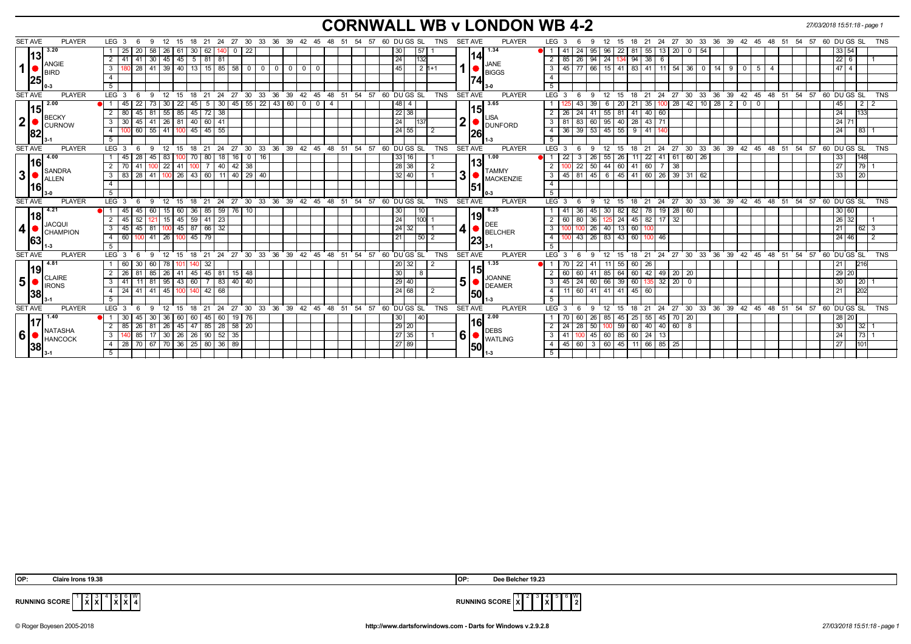# **CORNWALL WB v LONDON WB 4-2** *27/03/2018 15:51:18 - page 1*

| <b>SET AVE</b> | <b>PLAYER</b>          | LEG <sub>3</sub>  | 6        | -9              | - 12                              | 15               | 18                | - 21<br>24 |                                  |              |                  |              |                         |              |                                 |  |  | 27 30 33 36 39 42 45 48 51 54 57 60 DUGS SL          |          | TNS            |                | <b>SET AVE</b> | <b>PLAYER</b>                              | LEG <sub>3</sub>        |                         | 9   | 12                              | - 15      | -18              |                   |             |                |            | 21 24 27 30 33 36 39 42 45 48 51 54                  |              |    |    | 57 | 60 DU GS SL |                 |             | <b>TNS</b>      |  |
|----------------|------------------------|-------------------|----------|-----------------|-----------------------------------|------------------|-------------------|------------|----------------------------------|--------------|------------------|--------------|-------------------------|--------------|---------------------------------|--|--|------------------------------------------------------|----------|----------------|----------------|----------------|--------------------------------------------|-------------------------|-------------------------|-----|---------------------------------|-----------|------------------|-------------------|-------------|----------------|------------|------------------------------------------------------|--------------|----|----|----|-------------|-----------------|-------------|-----------------|--|
|                | 3.20                   |                   | 20<br>25 | 58              | l 26                              | 61               | 30 <sub>1</sub>   | 62         | - 0                              | -22          |                  |              |                         |              |                                 |  |  | 30                                                   | 57       |                |                |                | 1.34                                       |                         | -41                     | 95  | 96                              | 22        | 81               | 55 13             | $\sqrt{20}$ | $0 \mid 54$    |            |                                                      |              |    |    |    |             | 33 54           |             |                 |  |
| 13             |                        | $2 \mid 41$       | 41       |                 | 30   45                           | 45               | 5 81 81           |            |                                  |              |                  |              |                         |              |                                 |  |  | 24                                                   | 132      |                |                | 14             |                                            | 2                       | $\vert 26 \vert$<br>85  | 94  |                                 |           | $24$ 134 94 38 6 |                   |             |                |            |                                                      |              |    |    |    |             | $22 \quad 6$    |             |                 |  |
| 1 <sup>1</sup> | ANGIE<br><b>BIRD</b>   | 3 I               | 28       |                 | $41$ 39                           |                  |                   |            | $40$ 13 15 85 58 0               |              | $^{\circ}$       | $\mathbf{0}$ | $\overline{\mathbf{0}}$ | $\mathbf{0}$ |                                 |  |  | 45                                                   | $2 1+1 $ |                |                |                | JANE<br><b>BIGGS</b>                       | $\mathbf{3}$            | $45$ 77 66              |     |                                 | $15$   41 | 83               | $141$ 11 54       |             | $36$ $0$       | 14         | 900                                                  | 5            | -4 |    |    |             | 474             |             |                 |  |
| 25             |                        | $\overline{4}$    |          |                 |                                   |                  |                   |            |                                  |              |                  |              |                         |              |                                 |  |  |                                                      |          |                |                | <b>74</b>      |                                            | $\overline{4}$          |                         |     |                                 |           |                  |                   |             |                |            |                                                      |              |    |    |    |             |                 |             |                 |  |
|                |                        | 5                 |          |                 |                                   |                  |                   |            |                                  |              |                  |              |                         |              |                                 |  |  |                                                      |          |                |                |                |                                            | 5                       |                         |     |                                 |           |                  |                   |             |                |            |                                                      |              |    |    |    |             |                 |             |                 |  |
| <b>SET AVE</b> | <b>PLAYER</b>          | LEG <sub>3</sub>  |          | 9               | 12                                | 15               | 18                | 21<br>24   | 27                               | $30^{\circ}$ | 33               |              |                         |              |                                 |  |  | 36 39 42 45 48 51 54 57 60 DUGS SL                   |          | TNS            |                | <b>SET AVE</b> | <b>PLAYER</b>                              | $LEG^3$ 3               |                         | 9   | $12 \overline{ }$               | - 15      | 18               |                   |             |                |            | 21 24 27 30 33 36 39 42 45 48 51 54 57 60 DUGS SL    |              |    |    |    |             |                 |             | <b>TNS</b>      |  |
|                | 2.00                   |                   | 22       |                 | -30                               | 22               | 45                | 5          | 30                               |              | 45 55 22 43 60 0 |              |                         |              | $\overline{\mathbf{0}}$         |  |  | 48<br>$\overline{\mathbf{4}}$                        |          |                |                |                | 3.65                                       |                         |                         | 39  | - 6                             | 20        | 21               | 35   100          | $\sqrt{28}$ | 42 10 28 2 0   |            |                                                      | $\mathbf{0}$ |    |    |    |             | 45              | l 2 I       |                 |  |
| 15             |                        | $2 \mid 80$       | 45       |                 | $81 \mid 55$                      | 85               | $45 \mid 72 \mid$ |            | 38                               |              |                  |              |                         |              |                                 |  |  | 22 38                                                |          |                |                | l15I           |                                            | 2                       | 26<br>-24               | 41  |                                 | $55$ 81   | 41               | $40 \ 60$         |             |                |            |                                                      |              |    |    |    |             | 24              | 133         |                 |  |
| 2 <sup>1</sup> | BECKY<br><b>CURNOW</b> | $3 \overline{30}$ | 45       |                 | 41   26   81   40   60   41       |                  |                   |            |                                  |              |                  |              |                         |              |                                 |  |  | 24                                                   | 137      |                |                |                | $12$ $\bullet$ $\overline{\text{DUNFORD}}$ | $\mathbf{3}$            | 81<br>  83              | 60  |                                 |           | 95 40 28 43 71   |                   |             |                |            |                                                      |              |    |    |    |             | 24 71           |             |                 |  |
| 82             |                        | 4 I               |          |                 | 60   55   41   100   45   45   55 |                  |                   |            |                                  |              |                  |              |                         |              |                                 |  |  | 24 55                                                |          | $\overline{2}$ |                | 26             |                                            | $\overline{4}$          | 36 39 53 45 55 9 41 140 |     |                                 |           |                  |                   |             |                |            |                                                      |              |    |    |    |             | 24              | 83          |                 |  |
|                |                        | 5                 |          |                 |                                   |                  |                   |            |                                  |              |                  |              |                         |              |                                 |  |  |                                                      |          |                |                |                |                                            | 5                       |                         |     |                                 |           |                  |                   |             |                |            |                                                      |              |    |    |    |             |                 |             |                 |  |
| <b>SET AVE</b> | <b>PLAYER</b>          | LEG <sub>3</sub>  | -6       | 9               | 12                                | 15               | 18                | 24<br>21   |                                  |              |                  |              |                         |              |                                 |  |  | 27 30 33 36 39 42 45 48 51 54 57 60 DUGS SL          |          | <b>TNS</b>     |                | <b>SET AVE</b> | <b>PLAYER</b>                              | LEG <sub>3</sub>        |                         | 9   | 12                              | 15        | 18               |                   |             |                |            | 21 24 27 30 33 36 39 42 45 48 51 54 57 60 DUGS SL    |              |    |    |    |             |                 |             | TNS             |  |
|                | 4.00                   | l 45              | 28       | 45              | 83                                | ιυυ              |                   | 80         | 18 <sup>1</sup><br>16            | 0            | 16               |              |                         |              |                                 |  |  | 33<br>16                                             |          |                |                |                | 1.00                                       |                         | -22                     | 26  | 55                              | - 26      |                  | 22 41             | 61          | 60 26          |            |                                                      |              |    |    |    |             | 33              | 148         |                 |  |
| l16l           | SANDRA                 | 2   70            | 41       |                 | $100$ 22                          | 41               |                   |            | 40                               | 42 38        |                  |              |                         |              |                                 |  |  | 28 38                                                |          | 2              |                | l13l           |                                            |                         | $22 \mid$               | 50  | 44 60                           |           | 41  <br>60       |                   | 38          |                |            |                                                      |              |    |    |    |             | 27              |             |                 |  |
| 3 <sup>1</sup> | <b>ALLEN</b>           | $3 \mid 83$       | 28       |                 | 41   100                          |                  |                   |            | 26   43   60   11   40   29   40 |              |                  |              |                         |              |                                 |  |  | 32 40                                                |          |                | 3 <sup>1</sup> |                | <b>TAMMY</b><br><b>MACKENZIE</b>           | $\overline{\mathbf{3}}$ | $45$   81               | 45  |                                 | 6 45 41   |                  |                   |             | 60 26 39 31 62 |            |                                                      |              |    |    |    |             | 33              | $\sqrt{20}$ |                 |  |
| l16l           |                        | $\overline{4}$    |          |                 |                                   |                  |                   |            |                                  |              |                  |              |                         |              |                                 |  |  |                                                      |          |                |                | 51             |                                            | $\overline{4}$          |                         |     |                                 |           |                  |                   |             |                |            |                                                      |              |    |    |    |             |                 |             |                 |  |
|                |                        | 5                 |          |                 |                                   |                  |                   |            |                                  |              |                  |              |                         |              |                                 |  |  |                                                      |          |                |                |                |                                            | $-5$                    |                         |     |                                 |           |                  |                   |             |                |            |                                                      |              |    |    |    |             |                 |             |                 |  |
| <b>SET AVE</b> | <b>PLAYER</b>          | LEG <sup>3</sup>  | - 6      |                 | $9 \t12$                          | 15               |                   |            |                                  |              |                  |              |                         |              |                                 |  |  | 18 21 24 27 30 33 36 39 42 45 48 51 54 57 60 DUGS SL |          | <b>TNS</b>     |                | <b>SET AVE</b> | <b>PLAYER</b>                              | LEG <sup>3</sup>        | - 6                     | 9   | $12 \quad 15$                   |           |                  |                   |             |                |            | 18 21 24 27 30 33 36 39 42 45 48 51 54 57 60 DUGS SL |              |    |    |    |             |                 |             | TNS             |  |
|                | 4.21                   | 45                | 45       | 60              | 15                                | 60               | 36   85           |            | $59$ 76 10                       |              |                  |              |                         |              |                                 |  |  | 30                                                   | 10       |                |                |                | 6.25                                       |                         | 36<br>-41               | 45  | $30$ 82                         |           | 82               | 78   19   28   60 |             |                |            |                                                      |              |    |    |    |             | 30 60           |             |                 |  |
| 118            | <b>JACQUI</b>          | $2 \mid 45 \mid$  | 52       |                 | $\vert$ 15                        |                  | $45$ 59 $41$      |            | 23                               |              |                  |              |                         |              |                                 |  |  | 24                                                   | 100      |                |                | <u> 19 </u>    | <b>DEE</b>                                 |                         | 60<br>$\overline{80}$   | 36  | 125 24                          |           | 45 82 17 32      |                   |             |                |            |                                                      |              |    |    |    |             | 26 32           |             |                 |  |
| 4              | <b>CHAMPION</b>        | $3 \overline{45}$ | 45       |                 | 81 100                            |                  | 45 87 66          |            | 32                               |              |                  |              |                         |              |                                 |  |  | 24<br>32                                             |          |                |                |                | $\mathbf{A}$ $\bullet$ BELCHER             | $\overline{3}$          |                         | 26  |                                 | 40 13     | 60               |                   |             |                |            |                                                      |              |    |    |    |             |                 |             | 62 3            |  |
| 63             |                        | 4 60              | 100 I    |                 | $41 \mid 26$                      | 100 <sub>l</sub> | $45 \mid 79$      |            |                                  |              |                  |              |                         |              |                                 |  |  | 21                                                   | 50 2     |                |                | 23             |                                            | $\overline{4}$          | $100$ 43                | 26  |                                 | 83 43     | 60 100 46        |                   |             |                |            |                                                      |              |    |    |    |             | 24 46           |             |                 |  |
|                |                        | 5                 |          |                 |                                   |                  |                   |            |                                  |              |                  |              |                         |              |                                 |  |  |                                                      |          |                |                |                |                                            | 5                       |                         |     |                                 |           |                  |                   |             |                |            |                                                      |              |    |    |    |             |                 |             |                 |  |
| <b>SET AVE</b> | <b>PLAYER</b>          | LEG <sub>3</sub>  | 6        | -9              | 12                                |                  | 15 18 21          |            |                                  |              |                  |              |                         |              |                                 |  |  | 24 27 30 33 36 39 42 45 48 51 54 57 60 DUGS SL       |          | <b>TNS</b>     |                | <b>SET AVE</b> | <b>PLAYER</b>                              | LEG <sub>3</sub>        |                         | 9   | 12 15                           |           |                  |                   |             |                |            | 18 21 24 27 30 33 36 39 42 45 48 51 54 57 60 DUGS SL |              |    |    |    |             |                 |             | TNS             |  |
|                | 4.81                   | 1 60              | 30       | 60 <sup>1</sup> | l 78                              | 101              | $0 \mid 32 \mid$  |            |                                  |              |                  |              |                         |              |                                 |  |  | 20 32                                                |          |                |                | 115            | 1.35                                       |                         | 22                      | 41  |                                 | $11$ 55   | 60<br>26         |                   |             |                |            |                                                      |              |    |    |    |             |                 | 216         |                 |  |
| 19             | <b>CLAIRE</b>          | $2 \mid 26$       | 81       |                 | 85   26                           | 41               |                   |            | 45 45 81 15 48                   |              |                  |              |                         |              |                                 |  |  | 30                                                   | -8       |                |                |                | <b>JOANNE</b>                              |                         | 60 60                   | 41  |                                 | 85 64 60  |                  | 42 49 20 20       |             |                |            |                                                      |              |    |    |    |             | 29 20           |             |                 |  |
| 5 <sup>1</sup> | <b>IRONS</b>           | 3   41            | 111      |                 | $81 \mid 95$                      |                  |                   |            | 43 60 7 83 40 40                 |              |                  |              |                         |              |                                 |  |  | 29 <br>40                                            |          |                | 5              |                | <b>DEAMER</b>                              | 3                       | $45 \mid 24 \mid$       |     |                                 | 66 39 60  |                  | $135$ 32 20 0     |             |                |            |                                                      |              |    |    |    |             | 30 <sup>1</sup> | 20          |                 |  |
| 38             |                        | 4   24            | 41       |                 | $41 \mid 45$                      | 100 l            | $140$ 42 68       |            |                                  |              |                  |              |                         |              |                                 |  |  | 24 68                                                |          |                |                | 50             |                                            | $\overline{4}$          | $11$ 60                 | 141 |                                 | 41 41 45  | 60               |                   |             |                |            |                                                      |              |    |    |    |             |                 | 202         |                 |  |
|                |                        | -5                |          |                 |                                   |                  |                   |            |                                  |              |                  |              |                         |              |                                 |  |  |                                                      |          |                |                |                |                                            | 5                       |                         |     |                                 |           |                  |                   |             |                |            |                                                      |              |    |    |    |             |                 |             |                 |  |
| <b>SET AVE</b> | <b>PLAYER</b>          | LEG <sub>3</sub>  |          | $\mathbf{q}$    | 12                                | 15               | 18                | 21         | 24<br>27                         | - 30         | 33               | 36 39        |                         |              | $42 \quad 45 \quad 48 \quad 51$ |  |  | 54 57 60 DUGS SL                                     |          | TNS            |                | <b>SET AVE</b> | <b>PLAYER</b>                              | LEG <sup>3</sup>        |                         | -9  | 12                              | -15       | 21<br>18         | -24               | 27          | $30^{\circ}$   | ີ 33<br>36 | 39 42 45 48 51                                       |              |    | 54 | 57 | 60 DU GS SL |                 |             | TNS             |  |
| 17،            | 1.40                   | $\vert$ 30        | 45       | 30              | 36                                | 60               | 60                | 45         | 60                               | 19 76        |                  |              |                         |              |                                 |  |  | 30                                                   | 40       |                |                | <u> 116 </u>   | 2.00                                       |                         |                         | 26  | 85                              | 45        | $25 \mid$        | $55 \mid 45$      | $70$ 20     |                |            |                                                      |              |    |    |    |             | 28 20           |             |                 |  |
|                | NATASHA                | $2 \mid 85$       | 26       |                 | $81 \mid 26$                      | 45               | 47 85             |            | 28 58 20                         |              |                  |              |                         |              |                                 |  |  | $\sqrt{29}$ 20                                       |          |                |                |                | <b>DEBS</b>                                | $\overline{2}$          | 24<br>$\sqrt{28}$       | 50  |                                 | 100 59    | 60               | 40   40   60      |             | $_{8}$         |            |                                                      |              |    |    |    |             | 30 <sup>1</sup> |             | $32 \mid 1$     |  |
| 6              | HANCOCK                | 3 <sup>1</sup>    | 85       |                 | 17 30 26 26 90                    |                  |                   |            | $52 \mid 35$                     |              |                  |              |                         |              |                                 |  |  | $\sqrt{27}$ 35                                       |          |                | 6 <sub>1</sub> |                | WATLING                                    | $\overline{\mathbf{3}}$ | 41 100                  | 45  |                                 | 60 85     | $60$   24   13   |                   |             |                |            |                                                      |              |    |    |    |             | 24              |             | 73 <sup>1</sup> |  |
| 38             |                        | 4 28              | 70       |                 | 67   70   36   25   80   36   89  |                  |                   |            |                                  |              |                  |              |                         |              |                                 |  |  | 27 89                                                |          |                |                | 50             |                                            | $\overline{4}$          | $45 \mid 60 \mid$       |     | 3   60   45   11   66   85   25 |           |                  |                   |             |                |            |                                                      |              |    |    |    |             | 27              | 101         |                 |  |
|                |                        | 5 <sup>1</sup>    |          |                 |                                   |                  |                   |            |                                  |              |                  |              |                         |              |                                 |  |  |                                                      |          |                |                |                |                                            | -5                      |                         |     |                                 |           |                  |                   |             |                |            |                                                      |              |    |    |    |             |                 |             |                 |  |

| 'OP:<br>Claire Irons 19.38 | IOP: | Dee Belcher 19.23 |
|----------------------------|------|-------------------|
|----------------------------|------|-------------------|

$$
RUNNING SCORE \begin{array}{|c|c|c|c|c|}\n \hline\n 1 & 2 & 3 & 4 & 5 & 6 & W \\
 \hline\n X & X & X & X & 4 & \n\end{array}
$$